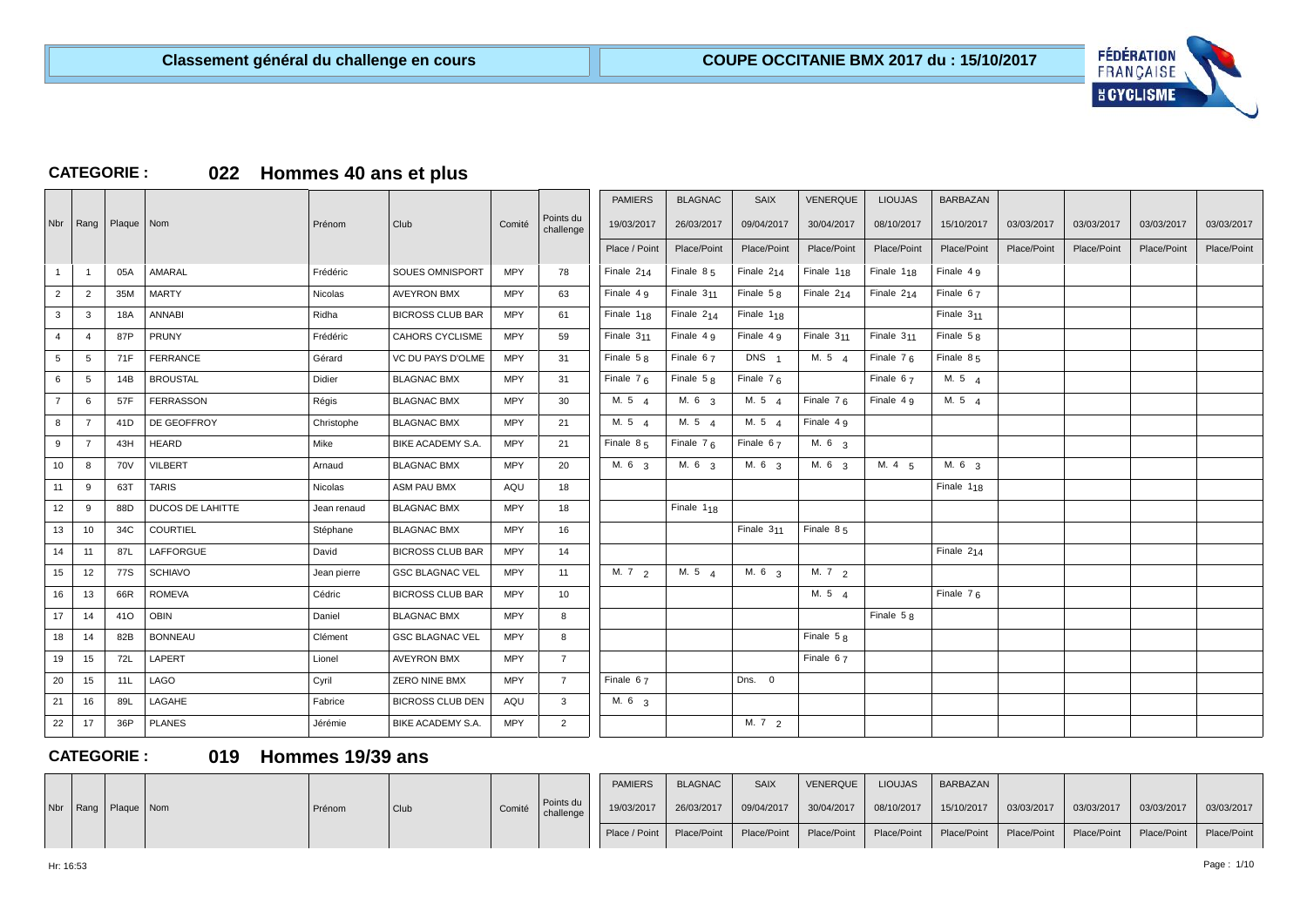

### **CATEGORIE : 022 Hommes 40 ans et plus**

|                  |                |              |                         |             |                         |            |                        | <b>PAMIERS</b>  | <b>BLAGNAC</b>         | <b>SAIX</b>       | <b>VENERQUE</b>        | <b>LIOUJAS</b>         | <b>BARBAZAN</b>        |             |             |             |             |
|------------------|----------------|--------------|-------------------------|-------------|-------------------------|------------|------------------------|-----------------|------------------------|-------------------|------------------------|------------------------|------------------------|-------------|-------------|-------------|-------------|
| Nbr              | Rang           | Plaque   Nom |                         | Prénom      | Club                    | Comité     | Points du<br>challenge | 19/03/2017      | 26/03/2017             | 09/04/2017        | 30/04/2017             | 08/10/2017             | 15/10/2017             | 03/03/2017  | 03/03/2017  | 03/03/2017  | 03/03/2017  |
|                  |                |              |                         |             |                         |            |                        | Place / Point   | Place/Point            | Place/Point       | Place/Point            | Place/Point            | Place/Point            | Place/Point | Place/Point | Place/Point | Place/Point |
|                  | $\overline{1}$ | 05A          | AMARAL                  | Frédéric    | <b>SOUES OMNISPORT</b>  | <b>MPY</b> | 78                     | Finale $2_{14}$ | Finale $85$            | Finale $2_{14}$   | Finale $1_{18}$        | Finale 1 <sub>18</sub> | Finale $4g$            |             |             |             |             |
| $\overline{2}$   | $\overline{2}$ | 35M          | <b>MARTY</b>            | Nicolas     | <b>AVEYRON BMX</b>      | <b>MPY</b> | 63                     | Finale 4 g      | Finale $311$           | Finale $58$       | Finale $2_{14}$        | Finale $2_{14}$        | Finale $67$            |             |             |             |             |
| $\mathbf{3}$     | 3              | 18A          | <b>ANNABI</b>           | Ridha       | <b>BICROSS CLUB BAR</b> | <b>MPY</b> | 61                     | Finale $1_{18}$ | Finale $2_{14}$        | Finale $1_{18}$   |                        |                        | Finale $311$           |             |             |             |             |
| $\overline{4}$   | $\overline{4}$ | 87P          | PRUNY                   | Frédéric    | <b>CAHORS CYCLISME</b>  | <b>MPY</b> | 59                     | Finale $311$    | Finale $4g$            | Finale $4g$       | Finale 3 <sub>11</sub> | Finale $311$           | Finale $58$            |             |             |             |             |
| 5                | 5              | 71F          | <b>FERRANCE</b>         | Gérard      | VC DU PAYS D'OLME       | <b>MPY</b> | 31                     | Finale $58$     | Finale $67$            | DNS <sub>1</sub>  | M. 54                  | Finale $76$            | Finale $85$            |             |             |             |             |
| 6                | 5              | 14B          | <b>BROUSTAL</b>         | Didier      | <b>BLAGNAC BMX</b>      | <b>MPY</b> | 31                     | Finale $76$     | Finale $58$            | Finale $76$       |                        | Finale 67              | M. 5 4                 |             |             |             |             |
| $\overline{7}$   | 6              | 57F          | <b>FERRASSON</b>        | Régis       | <b>BLAGNAC BMX</b>      | <b>MPY</b> | 30                     | M. 5 4          | M. 6 3                 | M. 5 4            | Finale $76$            | Finale 4 9             | M. 5 4                 |             |             |             |             |
| 8                | 7              | 41D          | DE GEOFFROY             | Christophe  | <b>BLAGNAC BMX</b>      | <b>MPY</b> | 21                     | M. 5 4          | M. 5 4                 | M. 5 4            | Finale 4 9             |                        |                        |             |             |             |             |
| 9                | $\overline{7}$ | 43H          | <b>HEARD</b>            | Mike        | BIKE ACADEMY S.A.       | <b>MPY</b> | 21                     | Finale 85       | Finale $76$            | Finale 67         | M. 6 3                 |                        |                        |             |             |             |             |
| 10 <sup>10</sup> | 8              | <b>70V</b>   | <b>VILBERT</b>          | Arnaud      | <b>BLAGNAC BMX</b>      | <b>MPY</b> | 20                     | M. 6 3          | M. 6 3                 | M. 6 3            | M. 6 3                 | M. 4 5                 | M. 6 3                 |             |             |             |             |
| 11               | -9             | 63T          | <b>TARIS</b>            | Nicolas     | ASM PAU BMX             | AQU        | 18                     |                 |                        |                   |                        |                        | Finale 1 <sub>18</sub> |             |             |             |             |
| 12               | 9              | 88D          | <b>DUCOS DE LAHITTE</b> | Jean renaud | <b>BLAGNAC BMX</b>      | <b>MPY</b> | 18                     |                 | Finale 1 <sub>18</sub> |                   |                        |                        |                        |             |             |             |             |
| 13               | 10             | 34C          | <b>COURTIEL</b>         | Stéphane    | <b>BLAGNAC BMX</b>      | <b>MPY</b> | 16                     |                 |                        | Finale $311$      | Finale $85$            |                        |                        |             |             |             |             |
| 14               | 11             | 87L          | LAFFORGUE               | David       | <b>BICROSS CLUB BAR</b> | <b>MPY</b> | 14                     |                 |                        |                   |                        |                        | Finale $2_{14}$        |             |             |             |             |
| 15               | 12             | 77S          | <b>SCHIAVO</b>          | Jean pierre | <b>GSC BLAGNAC VEL</b>  | <b>MPY</b> | 11                     | M. 7 2          | M. 5 $4$               | M. 6 <sub>3</sub> | M. 7 2                 |                        |                        |             |             |             |             |
| 16               | 13             | 66R          | <b>ROMEVA</b>           | Cédric      | <b>BICROSS CLUB BAR</b> | <b>MPY</b> | 10                     |                 |                        |                   | M. $5\quad 4$          |                        | Finale $76$            |             |             |             |             |
| 17               | 14             | 41O          | <b>OBIN</b>             | Daniel      | <b>BLAGNAC BMX</b>      | <b>MPY</b> | 8                      |                 |                        |                   |                        | Finale $58$            |                        |             |             |             |             |
| 18               | 14             | 82B          | <b>BONNEAU</b>          | Clément     | <b>GSC BLAGNAC VEL</b>  | <b>MPY</b> | 8                      |                 |                        |                   | Finale $58$            |                        |                        |             |             |             |             |
| 19               | 15             | 72L          | LAPERT                  | Lionel      | <b>AVEYRON BMX</b>      | <b>MPY</b> | $\overline{7}$         |                 |                        |                   | Finale 67              |                        |                        |             |             |             |             |
| 20               | 15             | 11L          | LAGO                    | Cyril       | <b>ZERO NINE BMX</b>    | <b>MPY</b> | $\overline{7}$         | Finale 67       |                        | Dns. 0            |                        |                        |                        |             |             |             |             |
| 21               | 16             | 89L          | LAGAHE                  | Fabrice     | <b>BICROSS CLUB DEN</b> | AQU        | $\mathbf{3}$           | M. 6 3          |                        |                   |                        |                        |                        |             |             |             |             |
| 22               | 17             | 36P          | <b>PLANES</b>           | Jérémie     | BIKE ACADEMY S.A.       | <b>MPY</b> | 2                      |                 |                        | M.72              |                        |                        |                        |             |             |             |             |

### **CATEGORIE : 019 Hommes 19/39 ans**

|  |                           |        |                   |        |                        | <b>PAMIERS</b>              | <b>BLAGNAC</b> | <b>SAIX</b> | VENERQUE    | <b>LIOUJAS</b> | <b>BARBAZAN</b> |             |                           |            |             |
|--|---------------------------|--------|-------------------|--------|------------------------|-----------------------------|----------------|-------------|-------------|----------------|-----------------|-------------|---------------------------|------------|-------------|
|  | Nbr   Rang   Plaque   Nom | Prénom | <sup>I</sup> Club | Comité | Points du<br>challenge | 19/03/2017                  | 26/03/2017     | 09/04/2017  | 30/04/2017  | 08/10/2017     | 15/10/2017      | 03/03/2017  | 03/03/2017                | 03/03/2017 | 03/03/2017  |
|  |                           |        |                   |        |                        | Place / Point   Place/Point |                | Place/Point | Place/Point | Place/Point    | Place/Point     | Place/Point | Place/Point   Place/Point |            | Place/Point |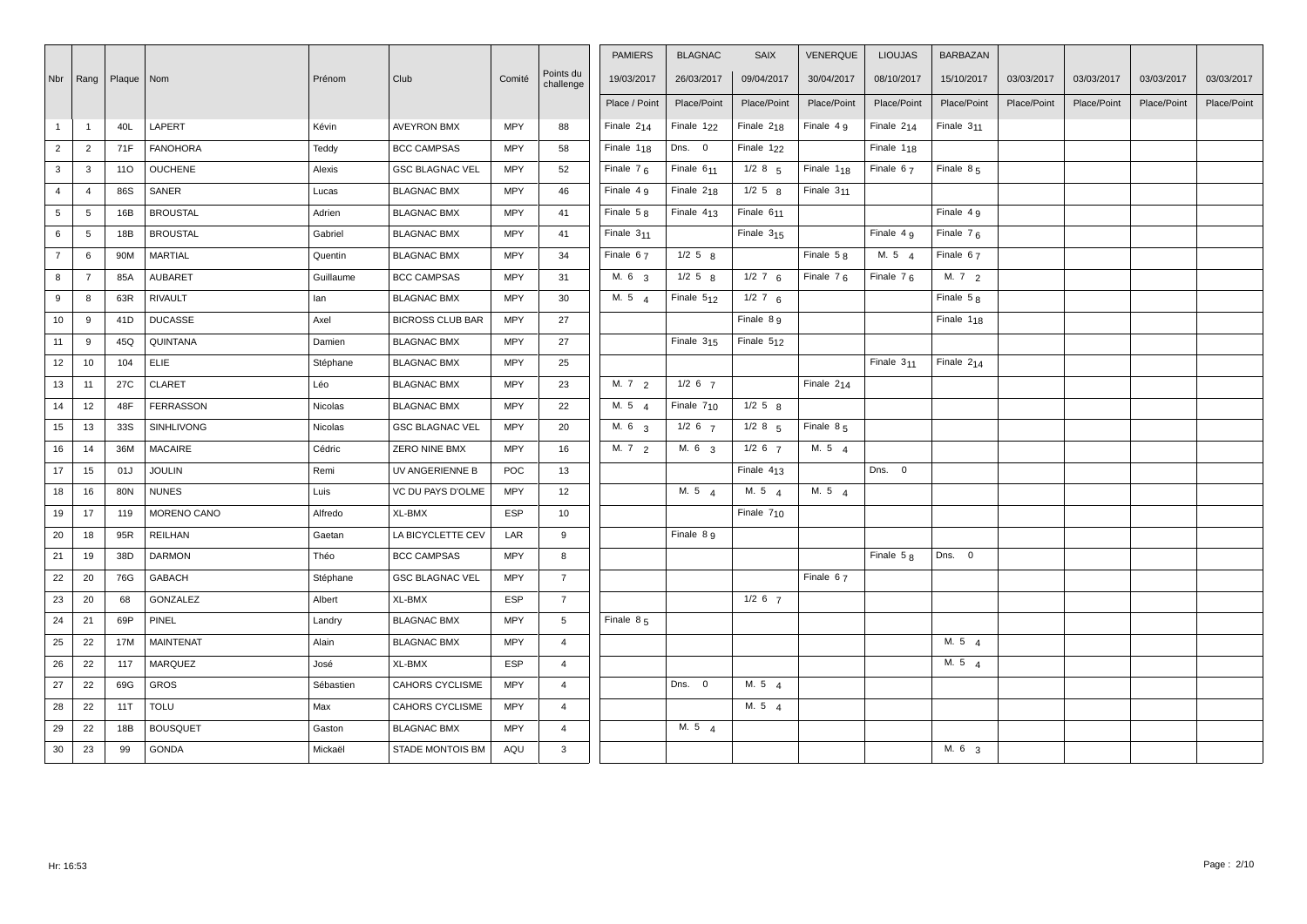|                |                |              |                   |           |                         |            |                        | <b>PAMIERS</b>    | <b>BLAGNAC</b>         | <b>SAIX</b>            | <b>VENERQUE</b> | <b>LIOUJAS</b>  | BARBAZAN               |             |             |             |             |
|----------------|----------------|--------------|-------------------|-----------|-------------------------|------------|------------------------|-------------------|------------------------|------------------------|-----------------|-----------------|------------------------|-------------|-------------|-------------|-------------|
| Nbr   Rang     |                | Plaque   Nom |                   | Prénom    | Club                    | Comité     | Points du<br>challenge | 19/03/2017        | 26/03/2017             | 09/04/2017             | 30/04/2017      | 08/10/2017      | 15/10/2017             | 03/03/2017  | 03/03/2017  | 03/03/2017  | 03/03/2017  |
|                |                |              |                   |           |                         |            |                        | Place / Point     | Place/Point            | Place/Point            | Place/Point     | Place/Point     | Place/Point            | Place/Point | Place/Point | Place/Point | Place/Point |
| $\mathbf{1}$   | $\overline{1}$ | 40L          | LAPERT            | Kévin     | <b>AVEYRON BMX</b>      | <b>MPY</b> | 88                     | Finale $2_{14}$   | Finale 1 <sub>22</sub> | Finale $218$           | Finale $4g$     | Finale $2_{14}$ | Finale $311$           |             |             |             |             |
| $\overline{2}$ | $\overline{2}$ | 71F          | <b>FANOHORA</b>   | Teddy     | <b>BCC CAMPSAS</b>      | <b>MPY</b> | 58                     | Finale $1_{18}$   | Dns. 0                 | Finale 1 <sub>22</sub> |                 | Finale $1_{18}$ |                        |             |             |             |             |
| 3              | $\mathbf{3}$   | 110          | <b>OUCHENE</b>    | Alexis    | <b>GSC BLAGNAC VEL</b>  | <b>MPY</b> | 52                     | Finale $76$       | Finale 6 <sub>11</sub> | $1/2$ 8 $5$            | Finale $1_{18}$ | Finale $67$     | Finale $85$            |             |             |             |             |
| $\overline{4}$ | $\overline{4}$ | 86S          | SANER             | Lucas     | <b>BLAGNAC BMX</b>      | <b>MPY</b> | 46                     | Finale $4g$       | Finale $218$           | $1/2$ 5 $8$            | Finale $311$    |                 |                        |             |             |             |             |
| 5              | 5              | 16B          | <b>BROUSTAL</b>   | Adrien    | <b>BLAGNAC BMX</b>      | <b>MPY</b> | 41                     | Finale $58$       | Finale $413$           | Finale $611$           |                 |                 | Finale $4g$            |             |             |             |             |
| 6              | 5              | 18B          | <b>BROUSTAL</b>   | Gabriel   | <b>BLAGNAC BMX</b>      | <b>MPY</b> | 41                     | Finale 311        |                        | Finale $315$           |                 | Finale 4 9      | Finale $76$            |             |             |             |             |
| $\overline{7}$ | 6              | 90M          | <b>MARTIAL</b>    | Quentin   | <b>BLAGNAC BMX</b>      | <b>MPY</b> | 34                     | Finale 67         | $1/2$ 5 $8$            |                        | Finale $58$     | M. 5 4          | Finale 67              |             |             |             |             |
| 8              | $\overline{7}$ | 85A          | AUBARET           | Guillaume | <b>BCC CAMPSAS</b>      | <b>MPY</b> | 31                     | M. 6 3            | $1/2$ 5 $8$            | $1/2$ 7 6              | Finale $76$     | Finale $76$     | M. 72                  |             |             |             |             |
| 9              | 8              | 63R          | <b>RIVAULT</b>    | lan       | <b>BLAGNAC BMX</b>      | <b>MPY</b> | 30                     | M. 5 4            | Finale 512             | $1/2$ 7 6              |                 |                 | Finale $58$            |             |             |             |             |
| 10             | 9              | 41D          | <b>DUCASSE</b>    | Axel      | <b>BICROSS CLUB BAR</b> | <b>MPY</b> | 27                     |                   |                        | Finale 8 9             |                 |                 | Finale 1 <sub>18</sub> |             |             |             |             |
| 11             | 9              | 45Q          | QUINTANA          | Damien    | <b>BLAGNAC BMX</b>      | <b>MPY</b> | 27                     |                   | Finale $315$           | Finale 512             |                 |                 |                        |             |             |             |             |
| 12             | 10             | 104          | <b>ELIE</b>       | Stéphane  | <b>BLAGNAC BMX</b>      | <b>MPY</b> | 25                     |                   |                        |                        |                 | Finale $311$    | Finale $2_{14}$        |             |             |             |             |
| 13             | 11             | 27C          | <b>CLARET</b>     | Léo       | <b>BLAGNAC BMX</b>      | <b>MPY</b> | 23                     | M. $7\frac{2}{2}$ | $1/2$ 6 $7$            |                        | Finale $2_{14}$ |                 |                        |             |             |             |             |
| 14             | 12             | 48F          | <b>FERRASSON</b>  | Nicolas   | <b>BLAGNAC BMX</b>      | <b>MPY</b> | 22                     | M. $5\frac{4}{4}$ | Finale $710$           | $1/2$ 5 $8$            |                 |                 |                        |             |             |             |             |
| 15             | 13             | 33S          | <b>SINHLIVONG</b> | Nicolas   | <b>GSC BLAGNAC VEL</b>  | <b>MPY</b> | 20                     | M. 6 <sub>3</sub> | $1/2$ 6 $7$            | $1/2$ 8 $5$            | Finale $85$     |                 |                        |             |             |             |             |
| 16             | 14             | 36M          | <b>MACAIRE</b>    | Cédric    | ZERO NINE BMX           | <b>MPY</b> | 16                     | M. $7\frac{2}{2}$ | M. 6 <sub>3</sub>      | $1/2$ 6 $7$            | M. $5\quad 4$   |                 |                        |             |             |             |             |
| 17             | 15             | 01J          | <b>JOULIN</b>     | Remi      | UV ANGERIENNE B         | POC        | 13                     |                   |                        | Finale $413$           |                 | Dns. 0          |                        |             |             |             |             |
| 18             | 16             | 80N          | <b>NUNES</b>      | Luis      | VC DU PAYS D'OLME       | <b>MPY</b> | 12                     |                   | M. 54                  | M. 5 $4$               | M. 54           |                 |                        |             |             |             |             |
| 19             | 17             | 119          | MORENO CANO       | Alfredo   | XL-BMX                  | <b>ESP</b> | 10                     |                   |                        | Finale $710$           |                 |                 |                        |             |             |             |             |
| 20             | 18             | 95R          | <b>REILHAN</b>    | Gaetan    | LA BICYCLETTE CEV       | LAR        | 9                      |                   | Finale 8 9             |                        |                 |                 |                        |             |             |             |             |
| 21             | 19             | 38D          | <b>DARMON</b>     | Théo      | <b>BCC CAMPSAS</b>      | <b>MPY</b> | 8                      |                   |                        |                        |                 | Finale $58$     | Dns. 0                 |             |             |             |             |
| 22             | 20             | 76G          | <b>GABACH</b>     | Stéphane  | <b>GSC BLAGNAC VEL</b>  | <b>MPY</b> | $\overline{7}$         |                   |                        |                        | Finale 67       |                 |                        |             |             |             |             |
| 23             | 20             | 68           | GONZALEZ          | Albert    | XL-BMX                  | <b>ESP</b> | $\overline{7}$         |                   |                        | $1/2$ 6 $7$            |                 |                 |                        |             |             |             |             |
| 24             | 21             | 69P          | <b>PINEL</b>      | Landry    | <b>BLAGNAC BMX</b>      | <b>MPY</b> | 5                      | Finale 85         |                        |                        |                 |                 |                        |             |             |             |             |
| 25             | 22             | 17M          | <b>MAINTENAT</b>  | Alain     | <b>BLAGNAC BMX</b>      | <b>MPY</b> | $\overline{4}$         |                   |                        |                        |                 |                 | M. 5 $4$               |             |             |             |             |
| 26             | 22             | 117          | <b>MARQUEZ</b>    | José      | XL-BMX                  | <b>ESP</b> | $\overline{4}$         |                   |                        |                        |                 |                 | M. 5 $4$               |             |             |             |             |
| 27             | 22             | 69G          | <b>GROS</b>       | Sébastien | <b>CAHORS CYCLISME</b>  | <b>MPY</b> | $\overline{4}$         |                   | Dns. 0                 | M. 54                  |                 |                 |                        |             |             |             |             |
| 28             | 22             | 11T          | <b>TOLU</b>       | Max       | CAHORS CYCLISME         | <b>MPY</b> | $\overline{4}$         |                   |                        | M. $5\quad 4$          |                 |                 |                        |             |             |             |             |
| 29             | 22             | 18B          | <b>BOUSQUET</b>   | Gaston    | <b>BLAGNAC BMX</b>      | <b>MPY</b> | $\overline{4}$         |                   | M. $5\quad 4$          |                        |                 |                 |                        |             |             |             |             |
| 30             | 23             | 99           | <b>GONDA</b>      | Mickaël   | <b>STADE MONTOIS BM</b> | AQU        | 3                      |                   |                        |                        |                 |                 | M. 6 <sub>3</sub>      |             |             |             |             |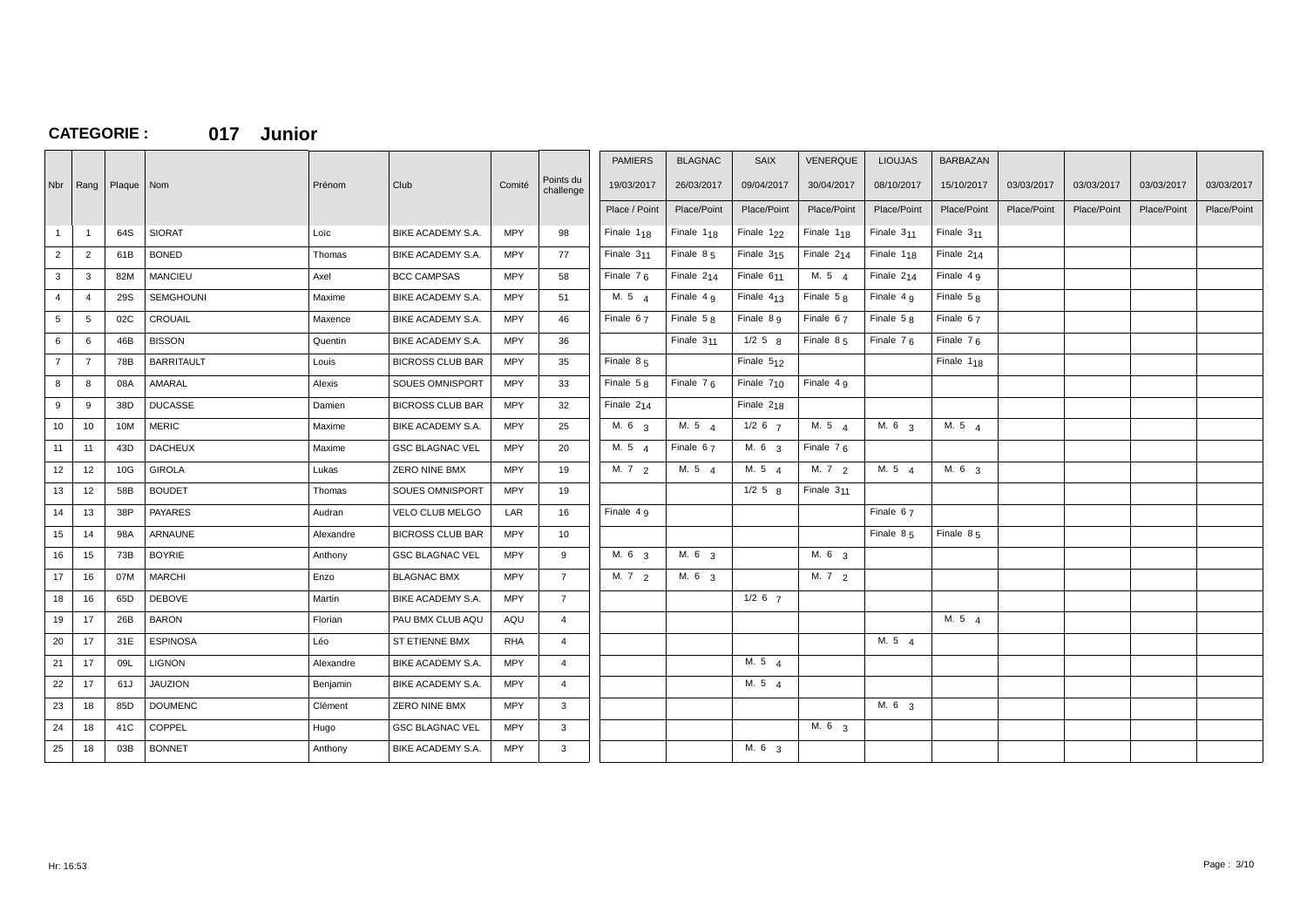## **CATEGORIE : 017 Junior**

|                |                |              |                   |           |                          |            |                        | <b>PAMIERS</b>    | <b>BLAGNAC</b>         | <b>SAIX</b>            | <b>VENERQUE</b>   | <b>LIOUJAS</b>  | <b>BARBAZAN</b>        |             |             |             |             |
|----------------|----------------|--------------|-------------------|-----------|--------------------------|------------|------------------------|-------------------|------------------------|------------------------|-------------------|-----------------|------------------------|-------------|-------------|-------------|-------------|
| Nbr            | Rang           | Plaque   Nom |                   | Prénom    | Club                     | Comité     | Points du<br>challenge | 19/03/2017        | 26/03/2017             | 09/04/2017             | 30/04/2017        | 08/10/2017      | 15/10/2017             | 03/03/2017  | 03/03/2017  | 03/03/2017  | 03/03/2017  |
|                |                |              |                   |           |                          |            |                        | Place / Point     | Place/Point            | Place/Point            | Place/Point       | Place/Point     | Place/Point            | Place/Point | Place/Point | Place/Point | Place/Point |
| $\mathbf{1}$   | $\overline{1}$ | 64S          | <b>SIORAT</b>     | Loïc      | BIKE ACADEMY S.A.        | <b>MPY</b> | 98                     | Finale $1_{18}$   | Finale $1_{18}$        | Finale $122$           | Finale $1_{18}$   | Finale $311$    | Finale $311$           |             |             |             |             |
|                |                |              |                   |           |                          |            |                        |                   |                        |                        |                   |                 |                        |             |             |             |             |
| $\overline{2}$ | $\overline{2}$ | 61B          | <b>BONED</b>      | Thomas    | BIKE ACADEMY S.A.        | MPY        | 77                     | Finale $311$      | Finale $85$            | Finale $315$           | Finale $2_{14}$   | Finale $1_{18}$ | Finale $2_{14}$        |             |             |             |             |
| $\mathbf{3}$   | 3              | 82M          | <b>MANCIEU</b>    | Axel      | <b>BCC CAMPSAS</b>       | <b>MPY</b> | 58                     | Finale $76$       | Finale $2_{14}$        | Finale 6 <sub>11</sub> | M. 5 $4$          | Finale $2_{14}$ | Finale $4g$            |             |             |             |             |
| $\overline{4}$ | $\overline{4}$ | 29S          | <b>SEMGHOUNI</b>  | Maxime    | <b>BIKE ACADEMY S.A.</b> | <b>MPY</b> | 51                     | M. 54             | Finale $4g$            | Finale $413$           | Finale $58$       | Finale $4g$     | Finale $58$            |             |             |             |             |
| $5^{\circ}$    | 5              | 02C          | <b>CROUAIL</b>    | Maxence   | BIKE ACADEMY S.A.        | <b>MPY</b> | 46                     | Finale $67$       | Finale $58$            | Finale 8 9             | Finale $67$       | Finale $58$     | Finale $67$            |             |             |             |             |
| 6              | 6              | 46B          | <b>BISSON</b>     | Quentin   | BIKE ACADEMY S.A.        | <b>MPY</b> | 36                     |                   | Finale 3 <sub>11</sub> | $1/2$ 5 $R$            | Finale $85$       | Finale $76$     | Finale $76$            |             |             |             |             |
| $\overline{7}$ | $\overline{7}$ | 78B          | <b>BARRITAULT</b> | Louis     | <b>BICROSS CLUB BAR</b>  | MPY        | 35                     | Finale $85$       |                        | Finale $512$           |                   |                 | Finale 1 <sub>18</sub> |             |             |             |             |
| 8              | 8              | 08A          | AMARAL            | Alexis    | SOUES OMNISPORT          | <b>MPY</b> | 33                     | Finale $5R$       | Finale $76$            | Finale $7_{10}$        | Finale $4g$       |                 |                        |             |             |             |             |
| 9              | 9              | 38D          | <b>DUCASSE</b>    | Damien    | <b>BICROSS CLUB BAR</b>  | <b>MPY</b> | 32                     | Finale 214        |                        | Finale 218             |                   |                 |                        |             |             |             |             |
| 10             | 10             | 10M          | <b>MERIC</b>      | Maxime    | BIKE ACADEMY S.A.        | <b>MPY</b> | 25                     | M. 6 3            | M.54                   | $1/2$ 6 $7$            | M. 5 4            | M. 6 3          | M. 5 4                 |             |             |             |             |
| 11             | 11             | 43D          | <b>DACHEUX</b>    | Maxime    | <b>GSC BLAGNAC VEL</b>   | <b>MPY</b> | 20                     | M. 5 4            | Finale 67              | M. 6 3                 | Finale $76$       |                 |                        |             |             |             |             |
| 12             | 12             | 10G          | <b>GIROLA</b>     | Lukas     | ZERO NINE BMX            | <b>MPY</b> | 19                     | M. 72             | M.54                   | M. 5 4                 | M. 72             | M. 54           | M. 6 3                 |             |             |             |             |
| 13             | 12             | 58B          | <b>BOUDET</b>     | Thomas    | SOUES OMNISPORT          | <b>MPY</b> | 19                     |                   |                        | $1/2$ 5 $8$            | Finale $311$      |                 |                        |             |             |             |             |
| 14             | 13             | 38P          | <b>PAYARES</b>    | Audran    | VELO CLUB MELGO          | LAR        | 16                     | Finale 4 g        |                        |                        |                   | Finale 67       |                        |             |             |             |             |
| 15             | 14             | 98A          | ARNAUNE           | Alexandre | <b>BICROSS CLUB BAR</b>  | <b>MPY</b> | 10                     |                   |                        |                        |                   | Finale $85$     | Finale $85$            |             |             |             |             |
| 16             | 15             | 73B          | <b>BOYRIE</b>     | Anthony   | <b>GSC BLAGNAC VEL</b>   | <b>MPY</b> | 9                      | M. 6 <sub>3</sub> | M. 6 <sub>3</sub>      |                        | M. 6 <sub>3</sub> |                 |                        |             |             |             |             |
| 17             | 16             | 07M          | <b>MARCHI</b>     | Enzo      | <b>BLAGNAC BMX</b>       | MPY        | $7^{\circ}$            | M. $7\frac{2}{2}$ | M. 6 <sub>3</sub>      |                        | M. $7\frac{2}{2}$ |                 |                        |             |             |             |             |
| 18             | 16             | 65D          | <b>DEBOVE</b>     | Martin    | BIKE ACADEMY S.A.        | <b>MPY</b> | $\overline{7}$         |                   |                        | $1/2$ 6 $7$            |                   |                 |                        |             |             |             |             |
| 19             | 17             | 26B          | <b>BARON</b>      | Florian   | PAU BMX CLUB AQU         | AQU        | $\overline{4}$         |                   |                        |                        |                   |                 | M. 5 4                 |             |             |             |             |
| 20             | 17             | 31E          | <b>ESPINOSA</b>   | Léo       | ST ETIENNE BMX           | <b>RHA</b> | $\overline{4}$         |                   |                        |                        |                   | M. $5\quad 4$   |                        |             |             |             |             |
| 21             | 17             | 09L          | <b>LIGNON</b>     | Alexandre | <b>BIKE ACADEMY S.A.</b> | <b>MPY</b> | $\overline{4}$         |                   |                        | M. 5 4                 |                   |                 |                        |             |             |             |             |
| 22             | 17             | 61J          | <b>JAUZION</b>    | Benjamin  | BIKE ACADEMY S.A.        | MPY        | $\overline{4}$         |                   |                        | M. $5\quad 4$          |                   |                 |                        |             |             |             |             |
| 23             | 18             | 85D          | <b>DOUMENC</b>    | Clément   | ZERO NINE BMX            | <b>MPY</b> | $\mathbf{3}$           |                   |                        |                        |                   | M. 6 3          |                        |             |             |             |             |
| 24             | 18             | 41C          | COPPEL            | Hugo      | <b>GSC BLAGNAC VEL</b>   | <b>MPY</b> | 3                      |                   |                        |                        | M. 6 3            |                 |                        |             |             |             |             |
| 25             | 18             | 03B          | <b>BONNET</b>     | Anthony   | BIKE ACADEMY S.A.        | <b>MPY</b> | $\mathbf{3}$           |                   |                        | M. 6 <sub>3</sub>      |                   |                 |                        |             |             |             |             |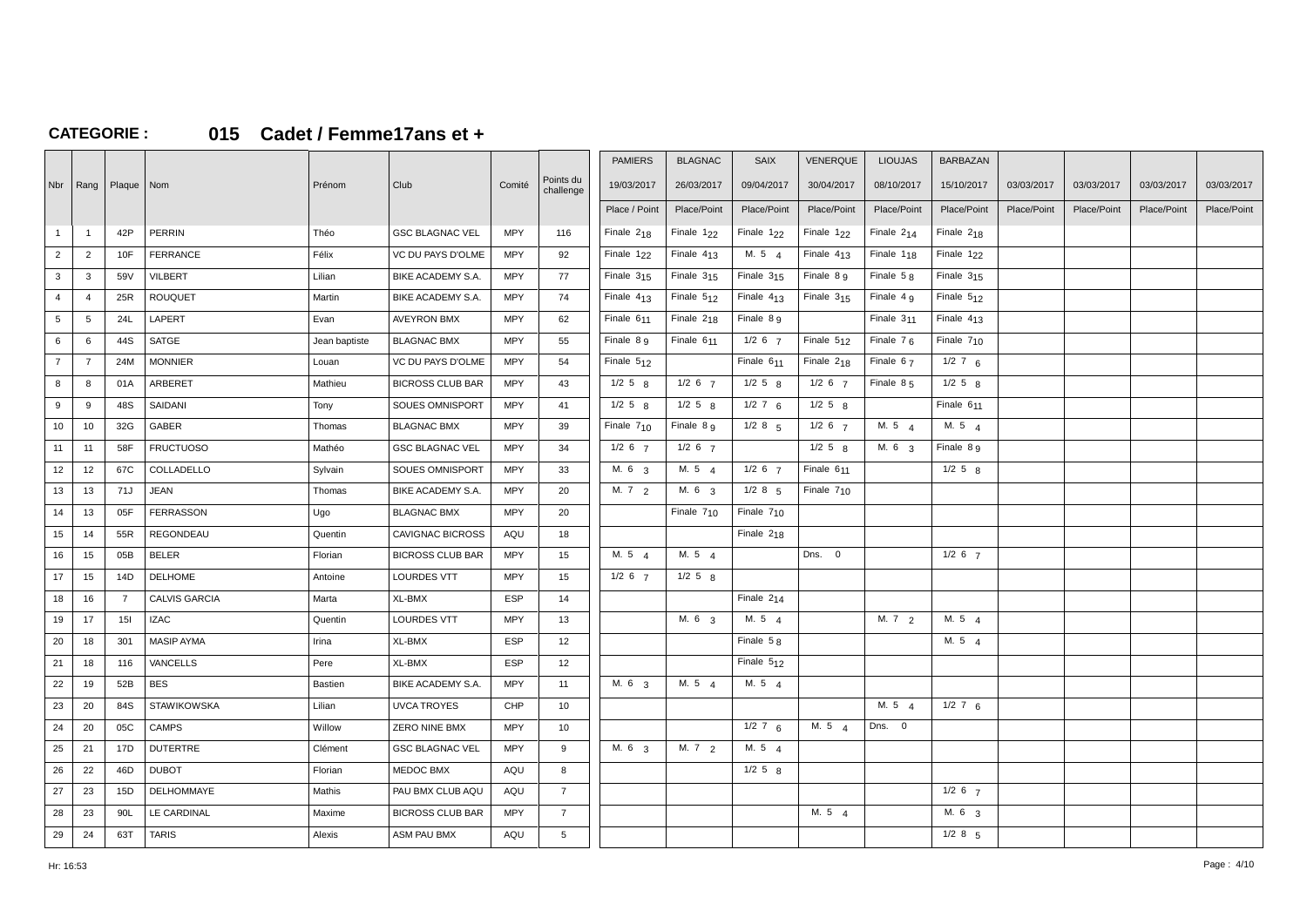## **CATEGORIE : 015 Cadet / Femme17ans et +**

|                 |                |                           |                      |                |                         |            |                        | <b>PAMIERS</b>    | <b>BLAGNAC</b>         | <b>SAIX</b>     | VENERQUE     | <b>LIOUJAS</b>         | <b>BARBAZAN</b>        |             |             |             |             |
|-----------------|----------------|---------------------------|----------------------|----------------|-------------------------|------------|------------------------|-------------------|------------------------|-----------------|--------------|------------------------|------------------------|-------------|-------------|-------------|-------------|
|                 |                | Nbr   Rang   Plaque   Nom |                      | Prénom         | Club                    | Comité     | Points du<br>challenge | 19/03/2017        | 26/03/2017             | 09/04/2017      | 30/04/2017   | 08/10/2017             | 15/10/2017             | 03/03/2017  | 03/03/2017  | 03/03/2017  | 03/03/2017  |
|                 |                |                           |                      |                |                         |            |                        | Place / Point     | Place/Point            | Place/Point     | Place/Point  | Place/Point            | Place/Point            | Place/Point | Place/Point | Place/Point | Place/Point |
| $\mathbf{1}$    | $\overline{1}$ | 42P                       | PERRIN               | Théo           | <b>GSC BLAGNAC VEL</b>  | <b>MPY</b> | 116                    | Finale $2_{18}$   | Finale $122$           | Finale $122$    | Finale $122$ | Finale $2_{14}$        | Finale $218$           |             |             |             |             |
| $\overline{2}$  | $\overline{2}$ | 10F                       | FERRANCE             | Félix          | VC DU PAYS D'OLME       | MPY        | 92                     | Finale $122$      | Finale $413$           | M. 5 $4$        | Finale $413$ | Finale 1 <sub>18</sub> | Finale 1 <sub>22</sub> |             |             |             |             |
| $\mathbf{3}$    | $\mathbf{3}$   | 59V                       | <b>VILBERT</b>       | Lilian         | BIKE ACADEMY S.A.       | <b>MPY</b> | 77                     | Finale $315$      | Finale $315$           | Finale $315$    | Finale 8 g   | Finale $58$            | Finale $315$           |             |             |             |             |
| $\overline{4}$  | $\overline{4}$ | 25R                       | <b>ROUQUET</b>       | Martin         | BIKE ACADEMY S.A.       | <b>MPY</b> | 74                     | Finale $413$      | Finale $512$           | Finale $413$    | Finale $315$ | Finale 4 <sub>9</sub>  | Finale $512$           |             |             |             |             |
| $5\overline{5}$ | 5              | 24L                       | LAPERT               | Evan           | <b>AVEYRON BMX</b>      | <b>MPY</b> | 62                     | Finale $611$      | Finale $218$           | Finale $8g$     |              | Finale $311$           | Finale $413$           |             |             |             |             |
| 6               | 6              | 44S                       | SATGE                | Jean baptiste  | <b>BLAGNAC BMX</b>      | <b>MPY</b> | 55                     | Finale $8g$       | Finale 6 <sub>11</sub> | $1/2$ 6 $7$     | Finale $512$ | Finale $76$            | Finale $710$           |             |             |             |             |
| $\overline{7}$  | $\overline{7}$ | 24M                       | <b>MONNIER</b>       | Louan          | VC DU PAYS D'OLME       | MPY        | 54                     | Finale 512        |                        | Finale 611      | Finale 218   | Finale 67              | $1/2$ 7 6              |             |             |             |             |
| 8               | 8              | 01A                       | ARBERET              | Mathieu        | <b>BICROSS CLUB BAR</b> | MPY        | 43                     | $1/2$ 5 $8$       | $1/2$ 6 $7$            | $1/2$ 5 $8$     | $1/2$ 6 $7$  | Finale $85$            | $1/2$ 5 $8$            |             |             |             |             |
| 9               | 9              | 48S                       | SAIDANI              | Tony           | SOUES OMNISPORT         | <b>MPY</b> | 41                     | $1/2$ 5 $8$       | $1/2$ 5 $8$            | $1/2$ 7 6       | $1/2$ 5 $8$  |                        | Finale 611             |             |             |             |             |
| 10              | 10             | 32G                       | GABER                | Thomas         | <b>BLAGNAC BMX</b>      | <b>MPY</b> | 39                     | Finale $710$      | Finale 8 9             | $1/2$ 8 5       | $1/2$ 6 $7$  | M. 54                  | M. $5\quad 4$          |             |             |             |             |
| 11              | 11             | 58F                       | <b>FRUCTUOSO</b>     | Mathéo         | <b>GSC BLAGNAC VEL</b>  | <b>MPY</b> | 34                     | $1/2$ 6 $7$       | $1/2$ 6 $7$            |                 | $1/2$ 5 $8$  | M. 6 3                 | Finale 8 9             |             |             |             |             |
| 12              | 12             | 67C                       | COLLADELLO           | Sylvain        | SOUES OMNISPORT         | <b>MPY</b> | 33                     | M. 6 3            | M. 5 4                 | $1/2$ 6 $7$     | Finale 611   |                        | $1/2$ 5 $8$            |             |             |             |             |
| 13              | 13             | 71J                       | <b>JEAN</b>          | Thomas         | BIKE ACADEMY S.A.       | <b>MPY</b> | 20                     | M. $7\frac{2}{2}$ | M. 6 <sub>3</sub>      | $1/2$ 8 $5$     | Finale $710$ |                        |                        |             |             |             |             |
| 14              | 13             | 05F                       | <b>FERRASSON</b>     | Ugo            | <b>BLAGNAC BMX</b>      | <b>MPY</b> | 20                     |                   | Finale 7 <sub>10</sub> | Finale $710$    |              |                        |                        |             |             |             |             |
| 15              | 14             | 55R                       | REGONDEAU            | Quentin        | <b>CAVIGNAC BICROSS</b> | AQU        | 18                     |                   |                        | Finale $2_{18}$ |              |                        |                        |             |             |             |             |
| 16              | 15             | 05B                       | <b>BELER</b>         | Florian        | <b>BICROSS CLUB BAR</b> | <b>MPY</b> | 15                     | M. $5\quad 4$     | M. 5 $\Delta$          |                 | Dns. 0       |                        | $1/2$ 6 $7$            |             |             |             |             |
| 17              | 15             | 14D                       | <b>DELHOME</b>       | Antoine        | <b>LOURDES VTT</b>      | <b>MPY</b> | 15                     | $1/2$ 6 $7$       | $1/2$ 5 $8$            |                 |              |                        |                        |             |             |             |             |
| 18              | 16             | $\overline{7}$            | <b>CALVIS GARCIA</b> | Marta          | XL-BMX                  | <b>ESP</b> | 14                     |                   |                        | Finale $2_{14}$ |              |                        |                        |             |             |             |             |
| 19              | 17             | 15I                       | <b>IZAC</b>          | Quentin        | LOURDES VTT             | <b>MPY</b> | 13                     |                   | M. 6 3                 | M. 5 4          |              | M.72                   | M. 5 4                 |             |             |             |             |
| 20              | 18             | 301                       | <b>MASIP AYMA</b>    | Irina          | XL-BMX                  | <b>ESP</b> | 12                     |                   |                        | Finale $58$     |              |                        | M. $5\quad 4$          |             |             |             |             |
| 21              | 18             | 116                       | <b>VANCELLS</b>      | Pere           | XL-BMX                  | <b>ESP</b> | 12                     |                   |                        | Finale $512$    |              |                        |                        |             |             |             |             |
| 22              | 19             | 52B                       | <b>BES</b>           | <b>Bastien</b> | BIKE ACADEMY S.A.       | <b>MPY</b> | 11                     | M. 6 3            | M. 5 4                 | M.54            |              |                        |                        |             |             |             |             |
| 23              | 20             | 84S                       | <b>STAWIKOWSKA</b>   | Lilian         | <b>UVCA TROYES</b>      | CHP        | 10                     |                   |                        |                 |              | M. 5 4                 | $1/2$ 7 6              |             |             |             |             |
| 24              | 20             | 05C                       | <b>CAMPS</b>         | Willow         | ZERO NINE BMX           | <b>MPY</b> | 10                     |                   |                        | $1/2$ 7 6       | M.54         | Dns. 0                 |                        |             |             |             |             |
| 25              | 21             | 17D                       | <b>DUTERTRE</b>      | Clément        | <b>GSC BLAGNAC VEL</b>  | <b>MPY</b> | 9                      | M. 6 <sub>3</sub> | M. $7^{2}$             | M. 54           |              |                        |                        |             |             |             |             |
| 26              | 22             | 46D                       | <b>DUBOT</b>         | Florian        | MEDOC BMX               | AQU        | 8                      |                   |                        | $1/2$ 5 $8$     |              |                        |                        |             |             |             |             |
| 27              | 23             | 15D                       | <b>DELHOMMAYE</b>    | Mathis         | PAU BMX CLUB AQU        | AQU        | $\overline{7}$         |                   |                        |                 |              |                        | $1/2$ 6 $7$            |             |             |             |             |
| 28              | 23             | 90L                       | LE CARDINAL          | Maxime         | <b>BICROSS CLUB BAR</b> | <b>MPY</b> | $\overline{7}$         |                   |                        |                 | M. 54        |                        | M. 6 <sub>3</sub>      |             |             |             |             |
| 29              | 24             | 63T                       | <b>TARIS</b>         | Alexis         | ASM PAU BMX             | AQU        | $5\overline{5}$        |                   |                        |                 |              |                        | $1/2$ 8 $5$            |             |             |             |             |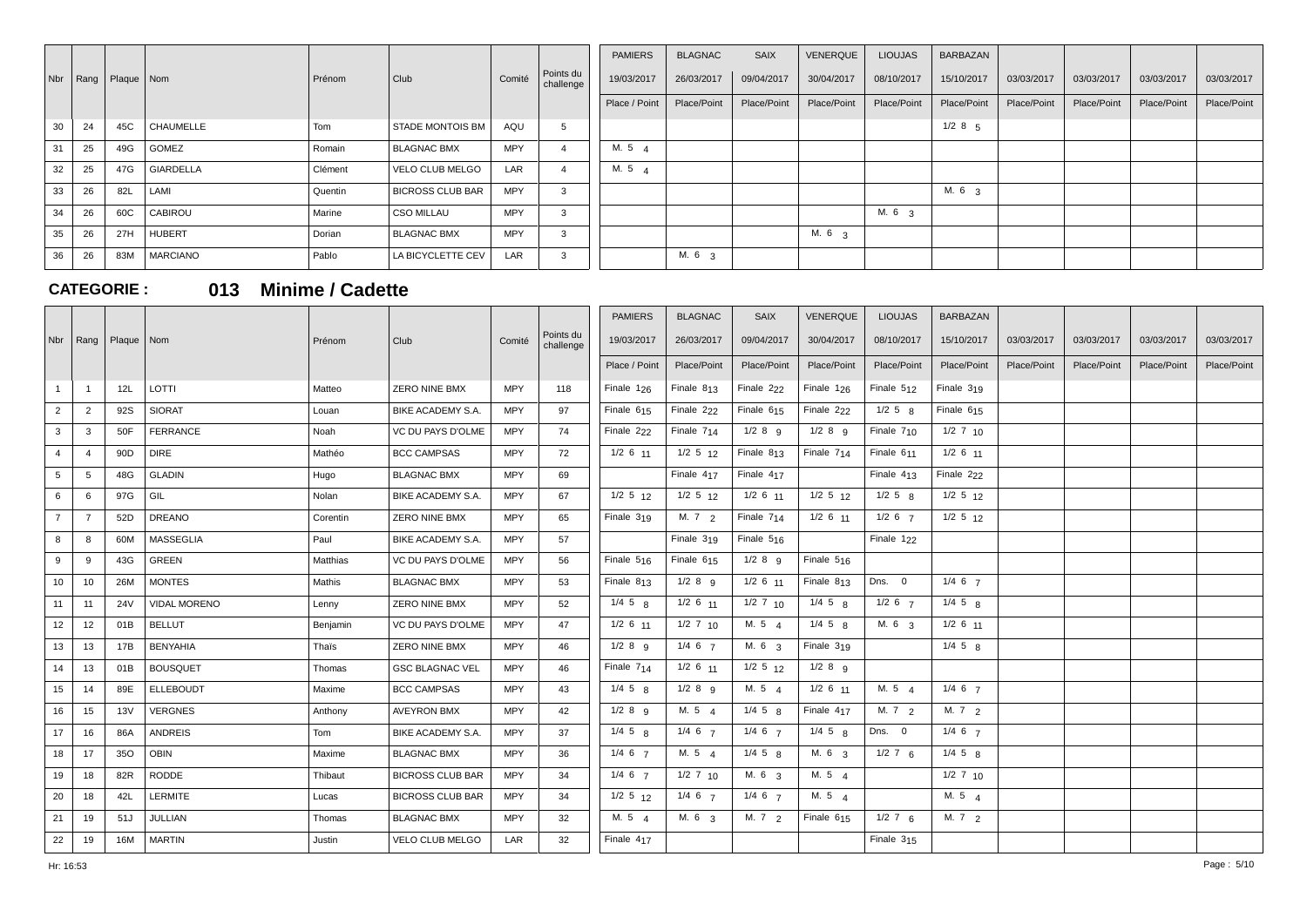|                           |     |                  |         |                         |            |                        | <b>PAMIERS</b> | <b>BLAGNAC</b>    | SAIX        | VENERQUE    | <b>LIOUJAS</b>    | BARBAZAN          |             |             |             |             |
|---------------------------|-----|------------------|---------|-------------------------|------------|------------------------|----------------|-------------------|-------------|-------------|-------------------|-------------------|-------------|-------------|-------------|-------------|
| Nbr   Rang   Plaque   Nom |     |                  | Prénom  | Club                    | Comité     | Points du<br>challenge | 19/03/2017     | 26/03/2017        | 09/04/2017  | 30/04/2017  | 08/10/2017        | 15/10/2017        | 03/03/2017  | 03/03/2017  | 03/03/2017  | 03/03/2017  |
|                           |     |                  |         |                         |            |                        | Place / Point  | Place/Point       | Place/Point | Place/Point | Place/Point       | Place/Point       | Place/Point | Place/Point | Place/Point | Place/Point |
| 30<br>24                  | 45C | <b>CHAUMELLE</b> | Tom     | <b>STADE MONTOIS BM</b> | AQU        | .b                     |                |                   |             |             |                   | $1/2$ 8 $5$       |             |             |             |             |
| 31<br>25                  | 49G | GOMEZ            | Romain  | <b>BLAGNAC BMX</b>      | <b>MPY</b> |                        | M. 5 $\mu$     |                   |             |             |                   |                   |             |             |             |             |
| 25<br>32                  | 47G | <b>GIARDELLA</b> | Clément | VELO CLUB MELGO         | LAR        |                        | M. 5 $\Delta$  |                   |             |             |                   |                   |             |             |             |             |
| 33<br>26                  | 82L | LAMI             | Quentin | <b>BICROSS CLUB BAR</b> | <b>MPY</b> |                        |                |                   |             |             |                   | M. 6 <sub>3</sub> |             |             |             |             |
| 26<br>34                  | 60C | CABIROU          | Marine  | <b>CSO MILLAU</b>       | <b>MPY</b> |                        |                |                   |             |             | M. 6 <sub>3</sub> |                   |             |             |             |             |
| 35<br>26                  | 27H | <b>HUBERT</b>    | Dorian  | <b>BLAGNAC BMX</b>      | <b>MPY</b> |                        |                |                   |             | M. 6 3      |                   |                   |             |             |             |             |
| 26<br>36                  | 83M | <b>MARCIANO</b>  | Pablo   | LA BICYCLETTE CEV       | LAR        | 5.                     |                | M. 6 <sub>3</sub> |             |             |                   |                   |             |             |             |             |

**CATEGORIE : 013 Minime / Cadette**

|                |                |                 |                     |          |                         |            |                        | <b>PAMIERS</b>         | <b>BLAGNAC</b>    | <b>SAIX</b>       | VENERQUE               | <b>LIOUJAS</b>         | <b>BARBAZAN</b>   |             |             |             |             |
|----------------|----------------|-----------------|---------------------|----------|-------------------------|------------|------------------------|------------------------|-------------------|-------------------|------------------------|------------------------|-------------------|-------------|-------------|-------------|-------------|
| Nbr            | Rang           | Plaque   Nom    |                     | Prénom   | Club                    | Comité     | Points du<br>challenge | 19/03/2017             | 26/03/2017        | 09/04/2017        | 30/04/2017             | 08/10/2017             | 15/10/2017        | 03/03/2017  | 03/03/2017  | 03/03/2017  | 03/03/2017  |
|                |                |                 |                     |          |                         |            |                        | Place / Point          | Place/Point       | Place/Point       | Place/Point            | Place/Point            | Place/Point       | Place/Point | Place/Point | Place/Point | Place/Point |
|                | $\mathbf{1}$   | 12L             | LOTTI               | Matteo   | <b>ZERO NINE BMX</b>    | <b>MPY</b> | 118                    | Finale $126$           | Finale $813$      | Finale 222        | Finale $126$           | Finale $512$           | Finale 319        |             |             |             |             |
| $\overline{2}$ | $\overline{2}$ | 92S             | <b>SIORAT</b>       | Louan    | BIKE ACADEMY S.A.       | <b>MPY</b> | 97                     | Finale 6 <sub>15</sub> | Finale 222        | Finale $615$      | Finale 222             | $1/2$ 5 $8$            | Finale 615        |             |             |             |             |
| 3              | 3              | 50F             | FERRANCE            | Noah     | VC DU PAYS D'OLME       | <b>MPY</b> | 74                     | Finale 222             | Finale 714        | $1/2$ 8 $9$       | $1/2$ 8 9              | Finale $710$           | $1/2$ 7 10        |             |             |             |             |
| $\overline{4}$ | $\overline{4}$ | 90 <sub>D</sub> | <b>DIRE</b>         | Mathéo   | <b>BCC CAMPSAS</b>      | <b>MPY</b> | 72                     | $1/2$ 6 $11$           | $1/2$ 5 $12$      | Finale $813$      | Finale $714$           | Finale 6 <sub>11</sub> | $1/2$ 6 $11$      |             |             |             |             |
| 5              | 5              | 48G             | GLADIN              | Hugo     | <b>BLAGNAC BMX</b>      | MPY        | 69                     |                        | Finale 417        | Finale 417        |                        | Finale $413$           | Finale 222        |             |             |             |             |
| 6              | 6              | 97G             | GIL                 | Nolan    | BIKE ACADEMY S.A.       | <b>MPY</b> | 67                     | $1/2$ 5 $12$           | $1/2$ 5 $12$      | $1/2$ 6 $11$      | $1/2$ 5 $12$           | $1/2$ 5 $R$            | $1/2$ 5 $12$      |             |             |             |             |
| $\overline{7}$ | $\overline{7}$ | 52D             | <b>DREANO</b>       | Corentin | ZERO NINE BMX           | <b>MPY</b> | 65                     | Finale $319$           | M. $7\frac{2}{2}$ | Finale $7_{14}$   | $1/2$ 6 $11$           | $1/2$ 6 $7$            | $1/2$ 5 $12$      |             |             |             |             |
| 8              | 8              | 60M             | <b>MASSEGLIA</b>    | Paul     | BIKE ACADEMY S.A.       | <b>MPY</b> | 57                     |                        | Finale $319$      | Finale $5_{16}$   |                        | Finale 1 <sub>22</sub> |                   |             |             |             |             |
| 9              | 9              | 43G             | <b>GREEN</b>        | Matthias | VC DU PAYS D'OLME       | <b>MPY</b> | 56                     | Finale $5_{16}$        | Finale $615$      | $1/2$ 8 $q$       | Finale $5_{16}$        |                        |                   |             |             |             |             |
| 10             | 10             | 26M             | <b>MONTES</b>       | Mathis   | <b>BLAGNAC BMX</b>      | <b>MPY</b> | 53                     | Finale $813$           | $1/2$ 8 $9$       | $1/2$ 6 $11$      | Finale $813$           | Dns. 0                 | $1/4$ 6 $7$       |             |             |             |             |
| 11             | 11             | <b>24V</b>      | <b>VIDAL MORENO</b> | Lenny    | <b>ZERO NINE BMX</b>    | <b>MPY</b> | 52                     | $1/4$ 5 $8$            | $1/2$ 6 $11$      | $1/2$ 7 $10$      | $1/4$ 5 $\mu$          | $1/2$ 6 $7$            | $1/4$ 5 $g$       |             |             |             |             |
| 12             | 12             | 01B             | <b>BELLUT</b>       | Benjamin | VC DU PAYS D'OLME       | <b>MPY</b> | 47                     | $1/2$ 6 11             | $1/2$ 7 10        | M. 5 4            | $1/4$ 5 $8$            | M. 6 3                 | $1/2$ 6 $11$      |             |             |             |             |
| 13             | 13             | 17B             | <b>BENYAHIA</b>     | Thaïs    | ZERO NINE BMX           | <b>MPY</b> | 46                     | $1/2$ 8 9              | $1/4$ 6 $7$       | M. 6 3            | Finale $319$           |                        | $1/4$ 5 $8$       |             |             |             |             |
| 14             | 13             | 01B             | <b>BOUSQUET</b>     | Thomas   | <b>GSC BLAGNAC VEL</b>  | <b>MPY</b> | 46                     | Finale 7 <sub>14</sub> | $1/2$ 6 $11$      | $1/2$ 5 $12$      | $1/2$ 8 $9$            |                        |                   |             |             |             |             |
| 15             | 14             | 89E             | <b>ELLEBOUDT</b>    | Maxime   | <b>BCC CAMPSAS</b>      | <b>MPY</b> | 43                     | $1/4$ 5 $8$            | $1/2$ 8 $9$       | M. 5 4            | $1/2$ 6 $11$           | M. 5 4                 | $1/4$ 6 $7$       |             |             |             |             |
| 16             | 15             | 13V             | <b>VERGNES</b>      | Anthony  | <b>AVEYRON BMX</b>      | <b>MPY</b> | 42                     | $1/2$ 8 $q$            | M. 5 $4$          | $1/4$ 5 $R$       | Finale 4 <sub>17</sub> | M.72                   | M. $7\frac{2}{2}$ |             |             |             |             |
| 17             | 16             | 86A             | <b>ANDREIS</b>      | Tom      | BIKE ACADEMY S.A.       | <b>MPY</b> | 37                     | $1/4$ 5 $8$            | $1/4$ 6 $7$       | $1/4$ 6 $7$       | $1/4$ 5 $8$            | Dns. 0                 | $1/4$ 6 $7$       |             |             |             |             |
| 18             | 17             | 350             | <b>OBIN</b>         | Maxime   | <b>BLAGNAC BMX</b>      | <b>MPY</b> | 36                     | $1/4$ 6 $7$            | M. 5 $4$          | $1/4$ 5 $R$       | M. 6 <sub>3</sub>      | $1/2$ 7 6              | $1/4$ 5 $8$       |             |             |             |             |
| 19             | 18             | 82R             | RODDE               | Thibaut  | <b>BICROSS CLUB BAR</b> | <b>MPY</b> | 34                     | $1/4$ 6 $7$            | $1/2$ 7 $10$      | M. 6 <sub>3</sub> | M. 5 $4$               |                        | $1/2$ 7 $10$      |             |             |             |             |
| 20             | 18             | 42L             | LERMITE             | Lucas    | <b>BICROSS CLUB BAR</b> | MPY        | 34                     | $1/2$ 5 $12$           | $1/4$ 6 $7$       | $1/4$ 6 $7$       | M. 5 $4$               |                        | M. $5\quad 4$     |             |             |             |             |
| 21             | 19             | 51J             | <b>JULLIAN</b>      | Thomas   | <b>BLAGNAC BMX</b>      | <b>MPY</b> | 32                     | M. 5 $4$               | M. 6 <sub>3</sub> | M.72              | Finale $615$           | $1/2$ 7 6              | M. $7\frac{2}{2}$ |             |             |             |             |
| 22             | 19             | 16M             | MARTIN              | Justin   | VELO CLUB MELGO         | LAR        | 32                     | Finale 417             |                   |                   |                        | Finale $315$           |                   |             |             |             |             |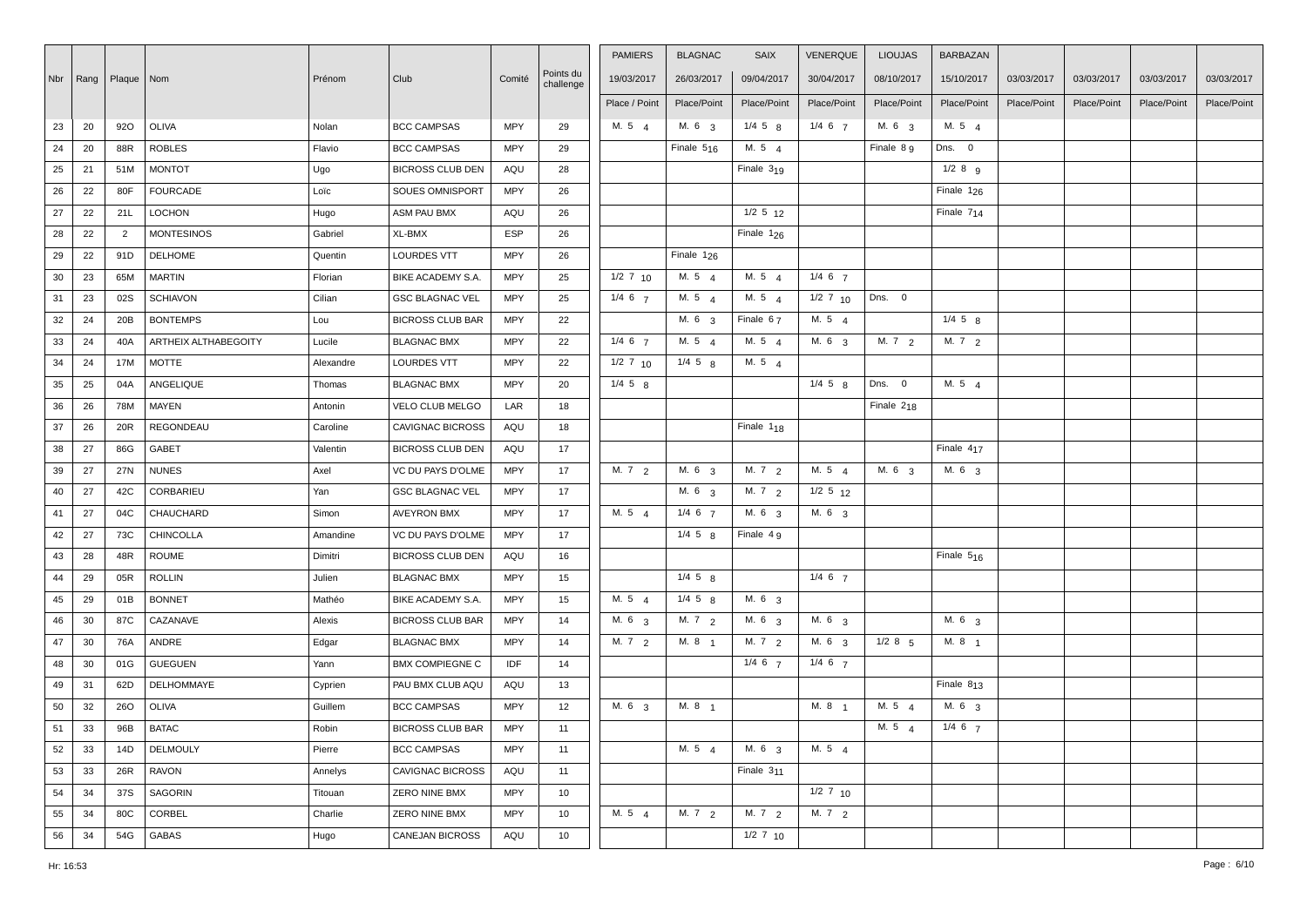|        |    |                           |                      |           |                         |            |                        | <b>PAMIERS</b>    | <b>BLAGNAC</b>         | <b>SAIX</b>            | <b>VENERQUE</b>   | <b>LIOUJAS</b>    | <b>BARBAZAN</b>        |             |             |             |             |
|--------|----|---------------------------|----------------------|-----------|-------------------------|------------|------------------------|-------------------|------------------------|------------------------|-------------------|-------------------|------------------------|-------------|-------------|-------------|-------------|
|        |    | Nbr   Rang   Plaque   Nom |                      | Prénom    | Club                    | Comité     | Points du<br>challenge | 19/03/2017        | 26/03/2017             | 09/04/2017             | 30/04/2017        | 08/10/2017        | 15/10/2017             | 03/03/2017  | 03/03/2017  | 03/03/2017  | 03/03/2017  |
|        |    |                           |                      |           |                         |            |                        | Place / Point     | Place/Point            | Place/Point            | Place/Point       | Place/Point       | Place/Point            | Place/Point | Place/Point | Place/Point | Place/Point |
| 23     | 20 | 920                       | OLIVA                | Nolan     | <b>BCC CAMPSAS</b>      | <b>MPY</b> | 29                     | M. $5\quad 4$     | M. 6 <sub>3</sub>      | $1/4$ 5 $8$            | $1/4 \t6 \t7$     | M. 63             | M. 5 $4$               |             |             |             |             |
| 24     | 20 | 88R                       | <b>ROBLES</b>        | Flavio    | <b>BCC CAMPSAS</b>      | <b>MPY</b> | 29                     |                   | Finale $5_{16}$        | M. 5 $\Delta$          |                   | Finale 8 9        | Dns. 0                 |             |             |             |             |
|        |    |                           |                      |           |                         | AQU        |                        |                   |                        | Finale $319$           |                   |                   | $1/2$ 8 $9$            |             |             |             |             |
| 25     | 21 | 51M                       | <b>MONTOT</b>        | Ugo       | <b>BICROSS CLUB DEN</b> |            | 28                     |                   |                        |                        |                   |                   |                        |             |             |             |             |
| 26     | 22 | 80F                       | <b>FOURCADE</b>      | Loïc      | SOUES OMNISPORT         | <b>MPY</b> | 26                     |                   |                        |                        |                   |                   | Finale 1 <sub>26</sub> |             |             |             |             |
| 27     | 22 | 21L                       | <b>LOCHON</b>        | Hugo      | ASM PAU BMX             | AQU        | 26                     |                   |                        | $1/2$ 5 $12$           |                   |                   | Finale $714$           |             |             |             |             |
| 28     | 22 | $\overline{2}$            | <b>MONTESINOS</b>    | Gabriel   | XL-BMX                  | <b>ESP</b> | 26                     |                   |                        | Finale 1 <sub>26</sub> |                   |                   |                        |             |             |             |             |
| 29     | 22 | 91D                       | <b>DELHOME</b>       | Quentin   | <b>LOURDES VTT</b>      | <b>MPY</b> | 26                     |                   | Finale 1 <sub>26</sub> |                        |                   |                   |                        |             |             |             |             |
| $30\,$ | 23 | 65M                       | <b>MARTIN</b>        | Florian   | BIKE ACADEMY S.A.       | <b>MPY</b> | 25                     | $1/2$ 7 10        | M. 5 4                 | M. 5 4                 | $1/4$ 6 $7$       |                   |                        |             |             |             |             |
| 31     | 23 | 02S                       | <b>SCHIAVON</b>      | Cilian    | <b>GSC BLAGNAC VEL</b>  | <b>MPY</b> | 25                     | $1/4$ 6 $7$       | M. 5 4                 | M. 5 4                 | $1/2$ 7 10        | Dns. 0            |                        |             |             |             |             |
| 32     | 24 | 20B                       | <b>BONTEMPS</b>      | Lou       | <b>BICROSS CLUB BAR</b> | <b>MPY</b> | 22                     |                   | M. 6 3                 | Finale 67              | M. 5 4            |                   | $1/4$ 5 $8$            |             |             |             |             |
| 33     | 24 | 40A                       | ARTHEIX ALTHABEGOITY | Lucile    | <b>BLAGNAC BMX</b>      | <b>MPY</b> | 22                     | $1/4$ 6 $7$       | M. 5 4                 | M. 5 4                 | M. 6 3            | M. 72             | M. 72                  |             |             |             |             |
| 34     | 24 | 17M                       | <b>MOTTE</b>         | Alexandre | LOURDES VTT             | <b>MPY</b> | 22                     | $1/2$ 7 $10$      | $1/4$ 5 $8$            | M. 5 $\Delta$          |                   |                   |                        |             |             |             |             |
| 35     | 25 | 04A                       | ANGELIQUE            | Thomas    | <b>BLAGNAC BMX</b>      | <b>MPY</b> | 20                     | $1/4$ 5 $8$       |                        |                        | $1/4$ 5 $8$       | Dns. 0            | M. 5 4                 |             |             |             |             |
| 36     | 26 | 78M                       | <b>MAYEN</b>         | Antonin   | VELO CLUB MELGO         | LAR        | 18                     |                   |                        |                        |                   | Finale $218$      |                        |             |             |             |             |
| 37     | 26 | 20R                       | REGONDEAU            | Caroline  | <b>CAVIGNAC BICROSS</b> | AQU        | 18                     |                   |                        | Finale 1 <sub>18</sub> |                   |                   |                        |             |             |             |             |
| 38     | 27 | 86G                       | GABET                | Valentin  | <b>BICROSS CLUB DEN</b> | AQU        | 17                     |                   |                        |                        |                   |                   | Finale $417$           |             |             |             |             |
| 39     | 27 | 27N                       | <b>NUNES</b>         | Axel      | VC DU PAYS D'OLME       | MPY        | 17                     | M. $7\frac{2}{2}$ | M. 6 <sub>3</sub>      | M. $7\frac{2}{2}$      | M. 54             | M. 6 <sub>3</sub> | M. 6 <sub>3</sub>      |             |             |             |             |
| 40     | 27 | 42C                       | CORBARIEU            | Yan       | <b>GSC BLAGNAC VEL</b>  | MPY        | 17                     |                   | M. 6 <sub>3</sub>      | M. $7\frac{2}{2}$      | $1/2$ 5 $12$      |                   |                        |             |             |             |             |
| 41     | 27 | 04C                       | CHAUCHARD            | Simon     | <b>AVEYRON BMX</b>      | <b>MPY</b> | 17                     | M. 5 4            | $1/4$ 6 $7$            | M. 6 3                 | M. 6 3            |                   |                        |             |             |             |             |
| 42     | 27 | 73C                       | <b>CHINCOLLA</b>     | Amandine  | VC DU PAYS D'OLME       | MPY        | 17                     |                   | $1/4$ 5 $8$            | Finale 4 9             |                   |                   |                        |             |             |             |             |
| 43     | 28 | 48R                       | ROUME                | Dimitri   | <b>BICROSS CLUB DEN</b> | AQU        | 16                     |                   |                        |                        |                   |                   | Finale $516$           |             |             |             |             |
| 44     | 29 | 05R                       | <b>ROLLIN</b>        | Julien    | <b>BLAGNAC BMX</b>      | <b>MPY</b> | 15                     |                   | $1/4$ 5 $8$            |                        | $1/4$ 6 $7$       |                   |                        |             |             |             |             |
| 45     | 29 | 01B                       | <b>BONNET</b>        | Mathéo    | BIKE ACADEMY S.A.       | <b>MPY</b> | 15                     | M. 5 4            | $1/4$ 5 $8$            | M. 6 3                 |                   |                   |                        |             |             |             |             |
| 46     | 30 | 87C                       | CAZANAVE             | Alexis    | <b>BICROSS CLUB BAR</b> | <b>MPY</b> | 14                     | M. 6 3            | M. 7 2                 | M. 6 3                 | M. 6 3            |                   | M. 6 3                 |             |             |             |             |
| 47     | 30 | 76A                       | ANDRE                | Edgar     | <b>BLAGNAC BMX</b>      | <b>MPY</b> | 14                     | M. $7\frac{2}{2}$ | M. 8 <sub>1</sub>      | M. $7\frac{2}{2}$      | M. 6 <sub>3</sub> | $1/2$ 8 $5$       | M. 8 1                 |             |             |             |             |
| 48     | 30 | 01G                       | <b>GUEGUEN</b>       | Yann      | <b>BMX COMPIEGNE C</b>  | IDF        | 14                     |                   |                        | $1/4$ 6 $7$            | $1/4$ 6 $7$       |                   |                        |             |             |             |             |
| 49     | 31 | 62D                       | DELHOMMAYE           | Cyprien   | PAU BMX CLUB AQU        | AQU        | 13                     |                   |                        |                        |                   |                   | Finale $813$           |             |             |             |             |
| 50     | 32 | 260                       | <b>OLIVA</b>         | Guillem   | <b>BCC CAMPSAS</b>      | <b>MPY</b> | 12                     | M. 6 <sub>3</sub> | M. 8 <sub>1</sub>      |                        | M. 8 <sub>1</sub> | M. $5\quad 4$     | M. 6 3                 |             |             |             |             |
| 51     | 33 | 96B                       | <b>BATAC</b>         | Robin     | <b>BICROSS CLUB BAR</b> | <b>MPY</b> | 11                     |                   |                        |                        |                   | M. $5\quad 4$     | $1/4 \t6 \t7$          |             |             |             |             |
| 52     | 33 | 14D                       | <b>DELMOULY</b>      | Pierre    | <b>BCC CAMPSAS</b>      | <b>MPY</b> | 11                     |                   | M. 5 $4$               | M. 6 3                 | M. 5 $4$          |                   |                        |             |             |             |             |
| 53     | 33 | 26R                       | <b>RAVON</b>         | Annelys   | <b>CAVIGNAC BICROSS</b> | AQU        | 11                     |                   |                        | Finale 311             |                   |                   |                        |             |             |             |             |
| 54     | 34 | 37S                       | SAGORIN              | Titouan   | ZERO NINE BMX           | <b>MPY</b> | 10                     |                   |                        |                        | $1/2$ 7 $10$      |                   |                        |             |             |             |             |
| 55     | 34 | 80C                       | CORBEL               | Charlie   | <b>ZERO NINE BMX</b>    | <b>MPY</b> | 10                     | M. 5 4            | M. 7 2                 | M. 7 2                 | M. 7 2            |                   |                        |             |             |             |             |
| 56     | 34 | 54G                       | <b>GABAS</b>         | Hugo      | <b>CANEJAN BICROSS</b>  | AQU        | 10                     |                   |                        | $1/2$ 7 $10$           |                   |                   |                        |             |             |             |             |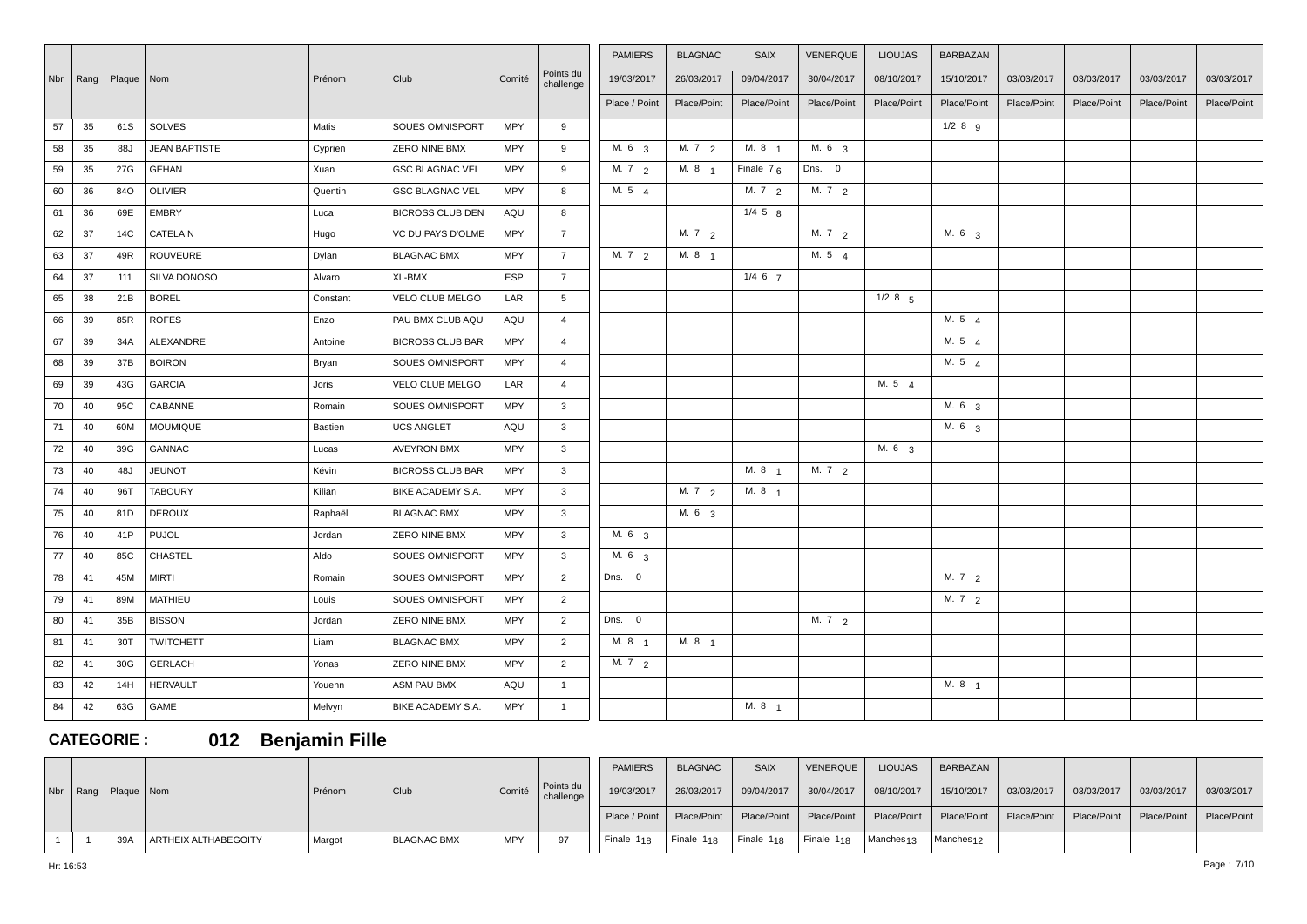|    |            |              |                      |          |                         |            |                        | <b>PAMIERS</b>    | <b>BLAGNAC</b>    | <b>SAIX</b>       | <b>VENERQUE</b>   | <b>LIOUJAS</b>    | <b>BARBAZAN</b>   |             |             |             |             |
|----|------------|--------------|----------------------|----------|-------------------------|------------|------------------------|-------------------|-------------------|-------------------|-------------------|-------------------|-------------------|-------------|-------------|-------------|-------------|
|    | Nbr   Rang | Plaque   Nom |                      | Prénom   | Club                    | Comité     | Points du<br>challenge | 19/03/2017        | 26/03/2017        | 09/04/2017        | 30/04/2017        | 08/10/2017        | 15/10/2017        | 03/03/2017  | 03/03/2017  | 03/03/2017  | 03/03/2017  |
|    |            |              |                      |          |                         |            |                        | Place / Point     | Place/Point       | Place/Point       | Place/Point       | Place/Point       | Place/Point       | Place/Point | Place/Point | Place/Point | Place/Point |
| 57 | 35         | 61S          | <b>SOLVES</b>        | Matis    | SOUES OMNISPORT         | <b>MPY</b> | 9                      |                   |                   |                   |                   |                   | $1/2$ 8 g         |             |             |             |             |
| 58 | 35         | 88J          | <b>JEAN BAPTISTE</b> | Cyprien  | ZERO NINE BMX           | <b>MPY</b> | 9                      | M. 6 <sub>3</sub> | M. $7\frac{2}{2}$ | M. 8 <sub>1</sub> | M. $6\frac{3}{3}$ |                   |                   |             |             |             |             |
| 59 | 35         | 27G          | <b>GEHAN</b>         | Xuan     | <b>GSC BLAGNAC VEL</b>  | <b>MPY</b> | 9                      | M. $7\frac{2}{2}$ | M. 8 <sub>1</sub> | Finale $76$       | Dns. 0            |                   |                   |             |             |             |             |
| 60 | 36         | 84O          | <b>OLIVIER</b>       | Quentin  | <b>GSC BLAGNAC VEL</b>  | MPY        | 8                      | M. 5 4            |                   | M. $7\frac{2}{2}$ | M. 7 2            |                   |                   |             |             |             |             |
|    |            |              |                      |          |                         |            |                        |                   |                   |                   |                   |                   |                   |             |             |             |             |
| 61 | 36         | 69E          | <b>EMBRY</b>         | Luca     | <b>BICROSS CLUB DEN</b> | AQU        | 8                      |                   |                   | $1/4$ 5 $8$       |                   |                   |                   |             |             |             |             |
| 62 | 37         | 14C          | CATELAIN             | Hugo     | VC DU PAYS D'OLME       | <b>MPY</b> | $\overline{7}$         |                   | M. 72             |                   | M. 72             |                   | M. 6 3            |             |             |             |             |
| 63 | 37         | 49R          | <b>ROUVEURE</b>      | Dylan    | <b>BLAGNAC BMX</b>      | MPY        | $7^{\circ}$            | M. 7 2            | M. 8 1            |                   | M. $5\quad 4$     |                   |                   |             |             |             |             |
| 64 | 37         | 111          | SILVA DONOSO         | Alvaro   | XL-BMX                  | <b>ESP</b> | $\overline{7}$         |                   |                   | $1/4$ 6 $7$       |                   |                   |                   |             |             |             |             |
| 65 | 38         | 21B          | <b>BOREL</b>         | Constant | VELO CLUB MELGO         | LAR        | $5^{\circ}$            |                   |                   |                   |                   | $1/2$ 8 5         |                   |             |             |             |             |
| 66 | 39         | 85R          | <b>ROFES</b>         | Enzo     | PAU BMX CLUB AQU        | AQU        | $\overline{4}$         |                   |                   |                   |                   |                   | M. 5 4            |             |             |             |             |
| 67 | 39         | 34A          | ALEXANDRE            | Antoine  | <b>BICROSS CLUB BAR</b> | MPY        | $\overline{4}$         |                   |                   |                   |                   |                   | M. 54             |             |             |             |             |
| 68 | 39         | 37B          | <b>BOIRON</b>        | Bryan    | SOUES OMNISPORT         | <b>MPY</b> | $\overline{4}$         |                   |                   |                   |                   |                   | M. 5 $4$          |             |             |             |             |
| 69 | 39         | 43G          | <b>GARCIA</b>        | Joris    | VELO CLUB MELGO         | LAR        | $\overline{4}$         |                   |                   |                   |                   | M. 54             |                   |             |             |             |             |
| 70 | 40         | 95C          | CABANNE              | Romain   | SOUES OMNISPORT         | <b>MPY</b> | $\mathbf{3}$           |                   |                   |                   |                   |                   | M. 6 <sub>3</sub> |             |             |             |             |
| 71 | 40         | 60M          | <b>MOUMIQUE</b>      | Bastien  | <b>UCS ANGLET</b>       | AQU        | $\mathbf{3}$           |                   |                   |                   |                   |                   | M. 6 <sub>3</sub> |             |             |             |             |
| 72 | 40         | 39G          | GANNAC               | Lucas    | <b>AVEYRON BMX</b>      | <b>MPY</b> | 3                      |                   |                   |                   |                   | M. 6 <sub>3</sub> |                   |             |             |             |             |
| 73 | 40         | 48J          | <b>JEUNOT</b>        | Kévin    | <b>BICROSS CLUB BAR</b> | <b>MPY</b> | $\mathbf{3}$           |                   |                   | M. 8 <sub>1</sub> | M. $7\frac{2}{2}$ |                   |                   |             |             |             |             |
| 74 | 40         | 96T          | <b>TABOURY</b>       | Kilian   | BIKE ACADEMY S.A.       | <b>MPY</b> | $\mathbf{3}$           |                   | M. $7\frac{2}{2}$ | M. $8 \t1$        |                   |                   |                   |             |             |             |             |
| 75 | 40         | 81D          | <b>DEROUX</b>        | Raphaël  | <b>BLAGNAC BMX</b>      | <b>MPY</b> | 3                      |                   | M. 6 3            |                   |                   |                   |                   |             |             |             |             |
| 76 | 40         | 41P          | <b>PUJOL</b>         | Jordan   | ZERO NINE BMX           | <b>MPY</b> | $\mathbf{3}$           | M. 6 3            |                   |                   |                   |                   |                   |             |             |             |             |
| 77 | 40         | 85C          | <b>CHASTEL</b>       | Aldo     | SOUES OMNISPORT         | <b>MPY</b> | $\mathbf{3}$           | M. 6 3            |                   |                   |                   |                   |                   |             |             |             |             |
| 78 | 41         | 45M          | <b>MIRTI</b>         | Romain   | SOUES OMNISPORT         | MPY        | $\overline{2}$         | Dns. 0            |                   |                   |                   |                   | M. 7 2            |             |             |             |             |
| 79 | 41         | 89M          | <b>MATHIEU</b>       | Louis    | SOUES OMNISPORT         | MPY        | 2                      |                   |                   |                   |                   |                   | M. 7 2            |             |             |             |             |
| 80 | 41         | 35B          | <b>BISSON</b>        | Jordan   | <b>ZERO NINE BMX</b>    | <b>MPY</b> | 2                      | Dns. 0            |                   |                   | M. 7 2            |                   |                   |             |             |             |             |
| 81 | 41         | 30T          | <b>TWITCHETT</b>     | Liam     | <b>BLAGNAC BMX</b>      | <b>MPY</b> | 2                      | M. 8 <sub>1</sub> | M. 8 <sub>1</sub> |                   |                   |                   |                   |             |             |             |             |
| 82 | 41         | 30G          | <b>GERLACH</b>       | Yonas    | <b>ZERO NINE BMX</b>    | <b>MPY</b> | 2                      | M. $7\frac{2}{2}$ |                   |                   |                   |                   |                   |             |             |             |             |
| 83 | 42         | 14H          | <b>HERVAULT</b>      | Youenn   | ASM PAU BMX             | AQU        | $\overline{1}$         |                   |                   |                   |                   |                   | M. 8 <sub>1</sub> |             |             |             |             |
| 84 | 42         | 63G          | GAME                 | Melvyn   | BIKE ACADEMY S.A.       | <b>MPY</b> | $\overline{1}$         |                   |                   | M. 8 <sub>1</sub> |                   |                   |                   |             |             |             |             |

**CATEGORIE : 012 Benjamin Fille**

|  |                           |                      |        |             |            |                        | <b>PAMIERS</b>                    | <b>BLAGNAC</b> | <b>SAIX</b>            | VENERQUE               | <b>LIOUJAS</b>        | BARBAZAN              |             |             |                           |            |
|--|---------------------------|----------------------|--------|-------------|------------|------------------------|-----------------------------------|----------------|------------------------|------------------------|-----------------------|-----------------------|-------------|-------------|---------------------------|------------|
|  | Nbr   Rang   Plaque   Nom |                      | Prénom | Club        | Comité     | Points du<br>challenge | 19/03/2017                        | 26/03/2017     | 09/04/2017             | 30/04/2017             | 08/10/2017            | 15/10/2017            | 03/03/2017  | 03/03/2017  | 03/03/2017                | 03/03/2017 |
|  |                           |                      |        |             |            |                        | Place / Point                     | Place/Point    | Place/Point            | Place/Point            | Place/Point           | Place/Point           | Place/Point | Place/Point | Place/Point   Place/Point |            |
|  | 39A                       | ARTHEIX ALTHABEGOITY | Margot | BLAGNAC BMX | <b>MPY</b> | 97                     | Finale $1_{18}$   Finale $1_{18}$ |                | Finale 1 <sub>18</sub> | Finale 1 <sub>18</sub> | Manches <sub>13</sub> | Manches <sub>12</sub> |             |             |                           |            |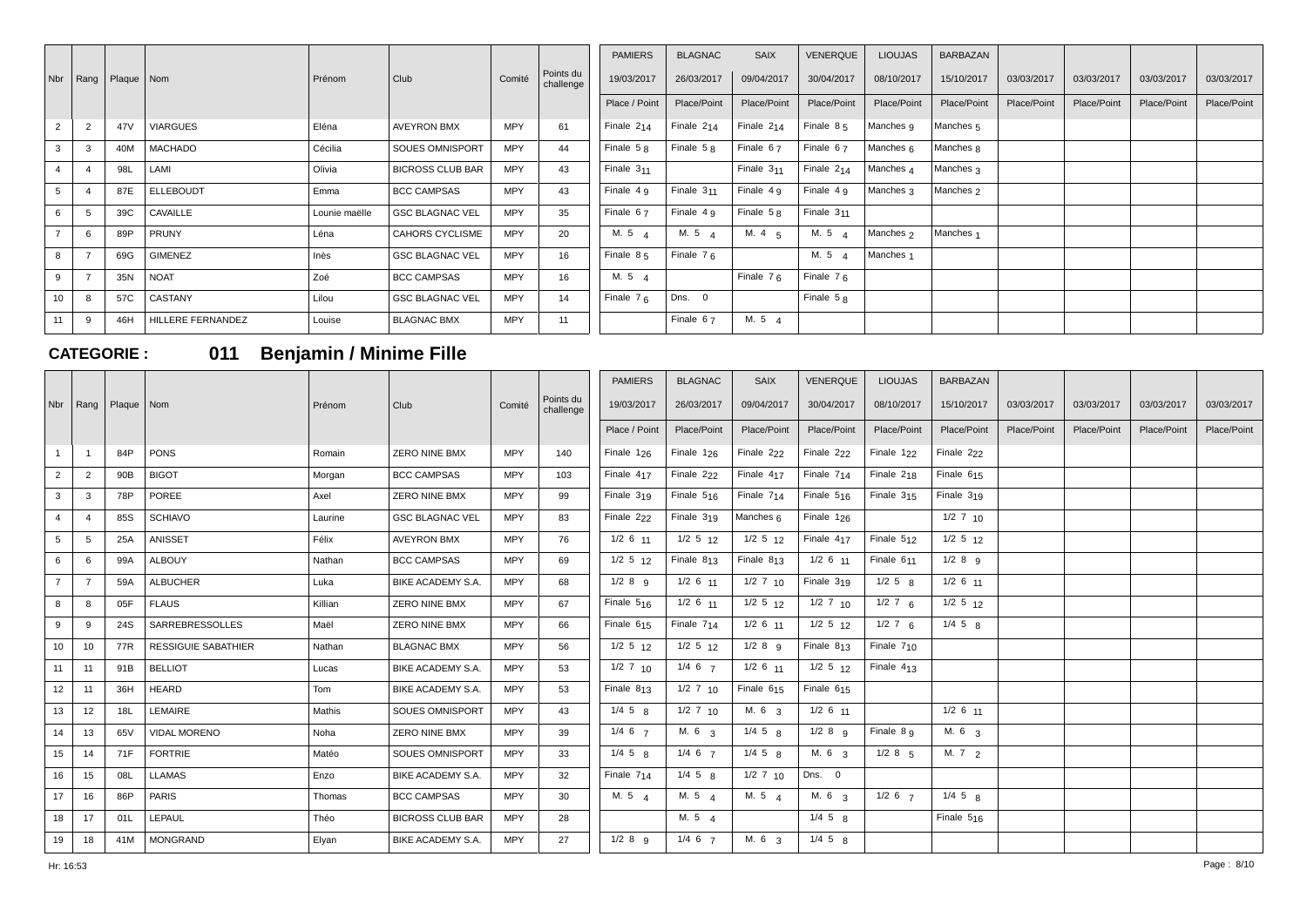|     |                      |                 |                   |               |                         |            |                        | <b>PAMIERS</b>         | <b>BLAGNAC</b>         | SAIX            | <b>VENERQUE</b> | <b>LIOUJAS</b>       | BARBAZAN             |             |             |             |             |
|-----|----------------------|-----------------|-------------------|---------------|-------------------------|------------|------------------------|------------------------|------------------------|-----------------|-----------------|----------------------|----------------------|-------------|-------------|-------------|-------------|
| Nbr | $\vert$ Rang $\vert$ | Plaque   Nom    |                   | Prénom        | Club                    | Comité     | Points du<br>challenge | 19/03/2017             | 26/03/2017             | 09/04/2017      | 30/04/2017      | 08/10/2017           | 15/10/2017           | 03/03/2017  | 03/03/2017  | 03/03/2017  | 03/03/2017  |
|     |                      |                 |                   |               |                         |            |                        | Place / Point          | Place/Point            | Place/Point     | Place/Point     | Place/Point          | Place/Point          | Place/Point | Place/Point | Place/Point | Place/Point |
|     |                      | 47 <sub>V</sub> | <b>VIARGUES</b>   | Eléna         | <b>AVEYRON BMX</b>      | <b>MPY</b> | 61                     | Finale 2 <sub>14</sub> | Finale 2 <sub>14</sub> | Finale $2_{14}$ | Finale $85$     | Manches 9            | Manches <sub>5</sub> |             |             |             |             |
| 3   |                      | 40M             | MACHADO           | Cécilia       | <b>SOUES OMNISPORT</b>  | <b>MPY</b> | 44                     | Finale $58$            | Finale $58$            | Finale $67$     | Finale $67$     | Manches 6            | Manches <sub>8</sub> |             |             |             |             |
|     |                      | 98L             | LAMI              | Olivia        | <b>BICROSS CLUB BAR</b> | <b>MPY</b> | 43                     | Finale $311$           |                        | Finale $311$    | Finale $2_{14}$ | Manches 4            | Manches 3            |             |             |             |             |
| 5   |                      | 87E             | <b>ELLEBOUDT</b>  | Emma          | <b>BCC CAMPSAS</b>      | <b>MPY</b> | 43                     | Finale $49$            | Finale $311$           | Finale 4 q      | Finale $4g$     | Manches 3            | Manches <sub>2</sub> |             |             |             |             |
| 6   |                      | 39C             | CAVAILLE          | Lounie maëlle | <b>GSC BLAGNAC VEL</b>  | <b>MPY</b> | 35                     | Finale $67$            | Finale 4 q             | Finale $58$     | Finale $311$    |                      |                      |             |             |             |             |
|     |                      | 89P             | <b>PRUNY</b>      | Léna          | <b>CAHORS CYCLISME</b>  | <b>MPY</b> | 20                     | M. 5 4                 | M.54                   | M. $4\quad 5$   | M. 54           | Manches <sub>2</sub> | Manches <sub>1</sub> |             |             |             |             |
| 8   | $\overline{ }$       | 69G             | GIMENEZ           | Inès          | <b>GSC BLAGNAC VEL</b>  | <b>MPY</b> | 16                     | Finale 85              | Finale $76$            |                 | M. 5 4          | Manches <sub>1</sub> |                      |             |             |             |             |
| 9   |                      | 35N             | <b>NOAT</b>       | Zoé           | <b>BCC CAMPSAS</b>      | <b>MPY</b> | 16                     | M. 5 4                 |                        | Finale $76$     | Finale $76$     |                      |                      |             |             |             |             |
| 10  |                      | 57C             | CASTANY           | Lilou         | <b>GSC BLAGNAC VEL</b>  | <b>MPY</b> | 14                     | Finale $76$            | Dns. 0                 |                 | Finale $58$     |                      |                      |             |             |             |             |
| 11  |                      | 46H             | HILLERE FERNANDEZ | Louise        | <b>BLAGNAC BMX</b>      | <b>MPY</b> | 11                     |                        | Finale 67              | M.54            |                 |                      |                      |             |             |             |             |

# **CATEGORIE : 011 Benjamin / Minime Fille**

| Nbr             |                | Rang   Plaque   Nom |                            | Prénom  | Club                    | Comité     | Points du<br>challenge | <b>PAMIERS</b><br>19/03/2017 | <b>BLAGNAC</b><br>26/03/2017 | <b>SAIX</b><br>09/04/2017 | <b>VENERQUE</b><br>30/04/2017 | <b>LIOUJAS</b><br>08/10/2017 | <b>BARBAZAN</b><br>15/10/2017 | 03/03/2017  | 03/03/2017  | 03/03/2017  | 03/03/2017  |
|-----------------|----------------|---------------------|----------------------------|---------|-------------------------|------------|------------------------|------------------------------|------------------------------|---------------------------|-------------------------------|------------------------------|-------------------------------|-------------|-------------|-------------|-------------|
|                 |                |                     |                            |         |                         |            |                        | Place / Point                | Place/Point                  | Place/Point               | Place/Point                   | Place/Point                  | Place/Point                   | Place/Point | Place/Point | Place/Point | Place/Point |
|                 | $\overline{1}$ | 84P                 | PONS                       | Romain  | <b>ZERO NINE BMX</b>    | <b>MPY</b> | 140                    | Finale $1_{26}$              | Finale $1_{26}$              | Finale 2 <sub>22</sub>    | Finale 2 <sub>22</sub>        | Finale $122$                 | Finale 2 <sub>22</sub>        |             |             |             |             |
| $\overline{2}$  | $\overline{2}$ | 90B                 | <b>BIGOT</b>               | Morgan  | <b>BCC CAMPSAS</b>      | <b>MPY</b> | 103                    | Finale 417                   | Finale 222                   | Finale 417                | Finale 714                    | Finale 218                   | Finale 615                    |             |             |             |             |
| $\mathbf{3}$    | 3              | 78P                 | POREE                      | Axel    | <b>ZERO NINE BMX</b>    | <b>MPY</b> | 99                     | Finale $319$                 | Finale $5_{16}$              | Finale $714$              | Finale $5_{16}$               | Finale $315$                 | Finale $319$                  |             |             |             |             |
| $\overline{4}$  | $\overline{4}$ | 85S                 | <b>SCHIAVO</b>             | Laurine | <b>GSC BLAGNAC VEL</b>  | <b>MPY</b> | 83                     | Finale 2 <sub>22</sub>       | Finale $319$                 | Manches 6                 | Finale $126$                  |                              | $1/2$ 7 $10$                  |             |             |             |             |
| $5^{\circ}$     | -5             | 25A                 | ANISSET                    | Félix   | <b>AVEYRON BMX</b>      | <b>MPY</b> | 76                     | $1/2$ 6 $11$                 | $1/2$ 5 $12$                 | $1/2$ 5 $12$              | Finale $417$                  | Finale $512$                 | $1/2$ 5 $12$                  |             |             |             |             |
| 6               | 6              | 99A                 | <b>ALBOUY</b>              | Nathan  | <b>BCC CAMPSAS</b>      | <b>MPY</b> | 69                     | $1/2$ 5 $12$                 | Finale $813$                 | Finale $813$              | $1/2$ 6 $11$                  | Finale 6 <sub>11</sub>       | $1/2$ 8 $9$                   |             |             |             |             |
| $7^{\circ}$     | $\overline{7}$ | 59A                 | <b>ALBUCHER</b>            | Luka    | BIKE ACADEMY S.A.       | <b>MPY</b> | 68                     | $1/2$ 8 $9$                  | $1/2$ 6 $11$                 | $1/2$ 7 10                | Finale 319                    | $1/2$ 5 $8$                  | $1/2$ 6 $11$                  |             |             |             |             |
| 8               | 8              | 05F                 | <b>FLAUS</b>               | Killian | <b>ZERO NINE BMX</b>    | <b>MPY</b> | 67                     | Finale $5_{16}$              | $1/2$ 6 $11$                 | $1/2$ 5 $12$              | $1/2$ 7 $10$                  | $1/2$ 7 6                    | $1/2$ 5 $12$                  |             |             |             |             |
| 9               | 9              | 24S                 | SARREBRESSOLLES            | Maël    | <b>ZERO NINE BMX</b>    | <b>MPY</b> | 66                     | Finale 6 <sub>15</sub>       | Finale 714                   | $1/2$ 6 11                | $1/2$ 5 $12$                  | $1/2$ 7 6                    | $1/4$ 5 $8$                   |             |             |             |             |
| 10              | 10             | 77R                 | <b>RESSIGUIE SABATHIER</b> | Nathan  | <b>BLAGNAC BMX</b>      | <b>MPY</b> | 56                     | $1/2$ 5 $12$                 | $1/2$ 5 $12$                 | $1/2$ 8 $9$               | Finale $813$                  | Finale $710$                 |                               |             |             |             |             |
| 11              | 11             | 91B                 | <b>BELLIOT</b>             | Lucas   | BIKE ACADEMY S.A.       | <b>MPY</b> | 53                     | $1/2$ 7 10                   | $1/4$ 6 $7$                  | $1/2$ 6 11                | $1/2$ 5 12                    | Finale $413$                 |                               |             |             |             |             |
| 12 <sup>2</sup> | 11             | 36H                 | <b>HEARD</b>               | Tom     | BIKE ACADEMY S.A.       | <b>MPY</b> | 53                     | Finale $813$                 | $1/2$ 7 10                   | Finale 615                | Finale 615                    |                              |                               |             |             |             |             |
| 13              | 12             | 18L                 | LEMAIRE                    | Mathis  | SOUES OMNISPORT         | <b>MPY</b> | 43                     | $1/4$ 5 $R$                  | $1/2$ 7 $10$                 | M. 6 <sub>3</sub>         | $1/2$ 6 $11$                  |                              | $1/2$ 6 $11$                  |             |             |             |             |
| 14              | 13             | 65V                 | <b>VIDAL MORENO</b>        | Noha    | <b>ZERO NINE BMX</b>    | <b>MPY</b> | 39                     | $1/4$ 6 $7$                  | M. 6.3                       | $1/4$ 5 $8$               | $1/2$ 8 $9$                   | Finale 8 9                   | M. 6 3                        |             |             |             |             |
| 15              | 14             | 71F                 | <b>FORTRIE</b>             | Matéo   | <b>SOUES OMNISPORT</b>  | <b>MPY</b> | 33                     | $1/4$ 5 $8$                  | $1/4$ 6 $7$                  | $1/4$ 5 $8$               | M. 6 <sub>3</sub>             | $1/2$ 8 $5$                  | M. $7\frac{2}{2}$             |             |             |             |             |
| 16              | 15             | 08L                 | <b>LLAMAS</b>              | Enzo    | BIKE ACADEMY S.A.       | <b>MPY</b> | 32                     | Finale $714$                 | $1/4$ 5 $R$                  | $1/2$ 7 $10$              | Dns. 0                        |                              |                               |             |             |             |             |
| 17              | 16             | 86P                 | PARIS                      | Thomas  | <b>BCC CAMPSAS</b>      | <b>MPY</b> | 30                     | M. $5\quad 4$                | M.5A                         | M. 5 $\,4$                | M. 6 <sub>3</sub>             | $1/2$ 6 $7$                  | $1/4$ 5 $8$                   |             |             |             |             |
| 18              | 17             | 01L                 | LEPAUL                     | Théo    | <b>BICROSS CLUB BAR</b> | <b>MPY</b> | 28                     |                              | M. 5 $4$                     |                           | $1/4$ 5 $8$                   |                              | Finale $5_{16}$               |             |             |             |             |
| 19              | 18             | 41M                 | <b>MONGRAND</b>            | Elyan   | BIKE ACADEMY S.A.       | <b>MPY</b> | 27                     | $1/2$ 8 9                    | $1/4$ 6 $7$                  | M. 6 <sub>3</sub>         | $1/4$ 5 $8$                   |                              |                               |             |             |             |             |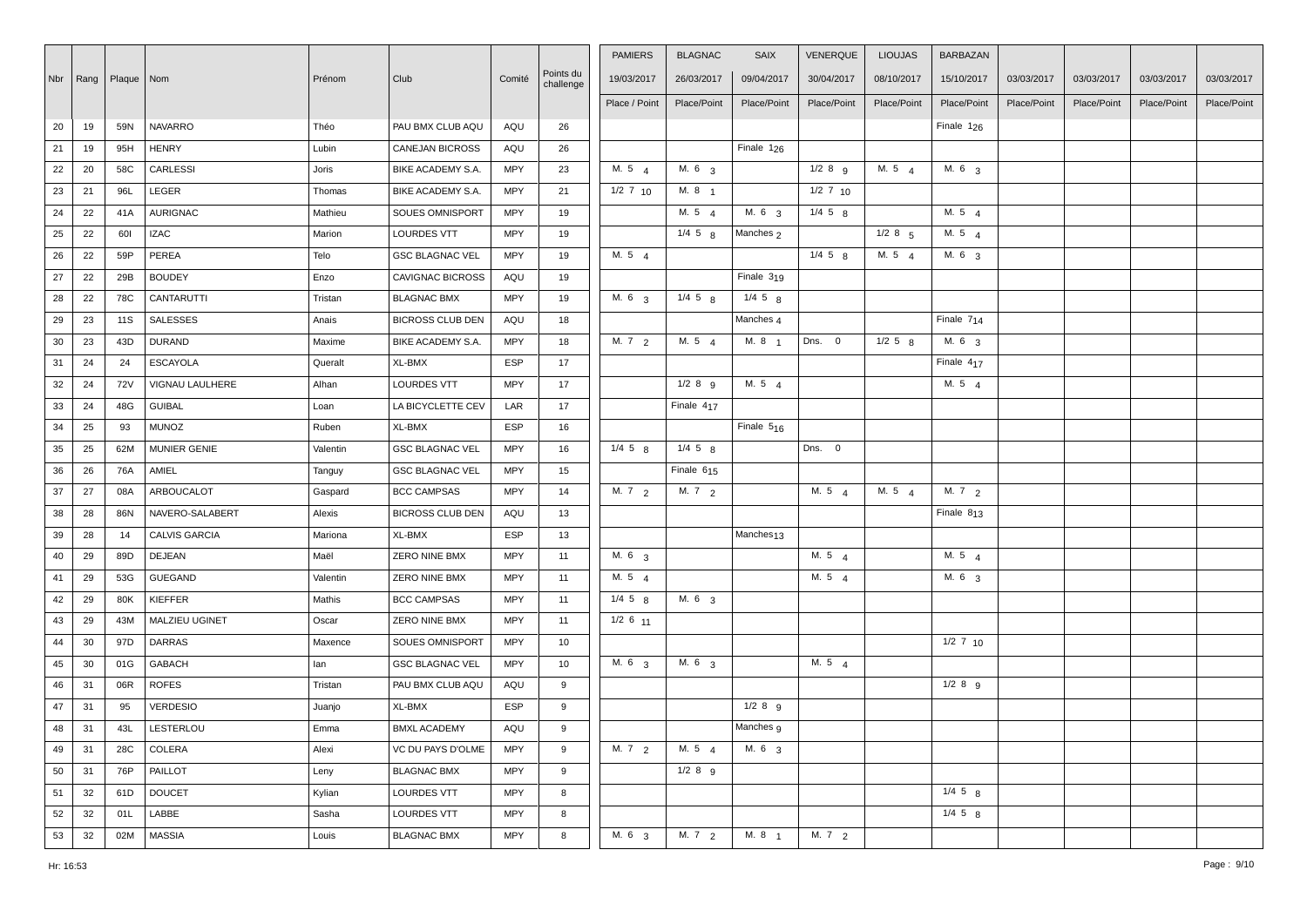|    |    |                           |                      |          |                         |            |                        | <b>PAMIERS</b>    | <b>BLAGNAC</b>         | <b>SAIX</b>           | VENERQUE     | <b>LIOUJAS</b> | <b>BARBAZAN</b>   |             |             |             |             |
|----|----|---------------------------|----------------------|----------|-------------------------|------------|------------------------|-------------------|------------------------|-----------------------|--------------|----------------|-------------------|-------------|-------------|-------------|-------------|
|    |    | Nbr   Rang   Plaque   Nom |                      | Prénom   | Club                    | Comité     | Points du<br>challenge | 19/03/2017        | 26/03/2017             | 09/04/2017            | 30/04/2017   | 08/10/2017     | 15/10/2017        | 03/03/2017  | 03/03/2017  | 03/03/2017  | 03/03/2017  |
|    |    |                           |                      |          |                         |            |                        | Place / Point     | Place/Point            | Place/Point           | Place/Point  | Place/Point    | Place/Point       | Place/Point | Place/Point | Place/Point | Place/Point |
| 20 | 19 | 59N                       | <b>NAVARRO</b>       | Théo     | PAU BMX CLUB AQU        | AQU        | 26                     |                   |                        |                       |              |                | Finale $1_{26}$   |             |             |             |             |
| 21 | 19 | 95H                       | <b>HENRY</b>         | Lubin    | <b>CANEJAN BICROSS</b>  | AQU        | 26                     |                   |                        | Finale $1_{26}$       |              |                |                   |             |             |             |             |
| 22 | 20 | 58C                       | <b>CARLESSI</b>      | Joris    | BIKE ACADEMY S.A.       | <b>MPY</b> | 23                     | M. 54             | M. 6 <sub>3</sub>      |                       | $1/2$ 8 $9$  | M. 54          | M. 6 <sub>3</sub> |             |             |             |             |
| 23 | 21 | 96L                       | LEGER                | Thomas   | BIKE ACADEMY S.A.       | <b>MPY</b> | 21                     | $1/2$ 7 $10$      | M. 8 <sub>1</sub>      |                       | $1/2$ 7 $10$ |                |                   |             |             |             |             |
| 24 | 22 | 41A                       | <b>AURIGNAC</b>      | Mathieu  | <b>SOUES OMNISPORT</b>  | <b>MPY</b> | 19                     |                   | M. 54                  | M. 6 <sub>3</sub>     | $1/4$ 5 $R$  |                | M. 54             |             |             |             |             |
| 25 | 22 | 601                       | <b>IZAC</b>          | Marion   | <b>LOURDES VTT</b>      | <b>MPY</b> | 19                     |                   | $1/4$ 5 $8$            | Manches 2             |              | $1/2$ 8 $5$    | M. 5 4            |             |             |             |             |
| 26 | 22 | 59P                       | PEREA                | Telo     | <b>GSC BLAGNAC VEL</b>  | <b>MPY</b> | 19                     | M. 5 4            |                        |                       | $1/4$ 5 $8$  | M. 5 4         | M. 6 3            |             |             |             |             |
| 27 | 22 | 29B                       | <b>BOUDEY</b>        | Enzo     | <b>CAVIGNAC BICROSS</b> | AQU        | 19                     |                   |                        | Finale 319            |              |                |                   |             |             |             |             |
| 28 | 22 | 78C                       | <b>CANTARUTTI</b>    | Tristan  | <b>BLAGNAC BMX</b>      | <b>MPY</b> | 19                     | M. 6 3            | $1/4$ 5 $8$            | $1/4$ 5 $8$           |              |                |                   |             |             |             |             |
| 29 | 23 | 11S                       | <b>SALESSES</b>      | Anais    | <b>BICROSS CLUB DEN</b> | AQU        | 18                     |                   |                        | Manches 4             |              |                | Finale 714        |             |             |             |             |
| 30 | 23 | 43D                       | <b>DURAND</b>        | Maxime   | BIKE ACADEMY S.A.       | <b>MPY</b> | 18                     | M. 72             | M. 5 4                 | M. 8 1                | Dns. 0       | $1/2$ 5 $8$    | M. 63             |             |             |             |             |
| 31 | 24 | 24                        | <b>ESCAYOLA</b>      | Queralt  | XL-BMX                  | ESP        | 17                     |                   |                        |                       |              |                | Finale 417        |             |             |             |             |
| 32 | 24 | <b>72V</b>                | VIGNAU LAULHERE      | Alhan    | <b>LOURDES VTT</b>      | <b>MPY</b> | 17                     |                   | $1/2$ 8 $9$            | M. 5 4                |              |                | M. 5 4            |             |             |             |             |
| 33 | 24 | 48G                       | <b>GUIBAL</b>        | Loan     | LA BICYCLETTE CEV       | LAR        | 17                     |                   | Finale 4 <sub>17</sub> |                       |              |                |                   |             |             |             |             |
| 34 | 25 | 93                        | <b>MUNOZ</b>         | Ruben    | XL-BMX                  | ESP        | 16                     |                   |                        | Finale $5_{16}$       |              |                |                   |             |             |             |             |
| 35 | 25 | 62M                       | MUNIER GENIE         | Valentin | <b>GSC BLAGNAC VEL</b>  | <b>MPY</b> | 16                     | $1/4$ 5 $8$       | $1/4$ 5 $8$            |                       | Dns. 0       |                |                   |             |             |             |             |
| 36 | 26 | 76A                       | AMIEL                | Tanguy   | <b>GSC BLAGNAC VEL</b>  | MPY        | 15                     |                   | Finale $615$           |                       |              |                |                   |             |             |             |             |
| 37 | 27 | 08A                       | ARBOUCALOT           | Gaspard  | <b>BCC CAMPSAS</b>      | <b>MPY</b> | 14                     | M. $7\frac{2}{2}$ | M. $7\frac{2}{2}$      |                       | M. 54        | M. 54          | M. $7\frac{2}{2}$ |             |             |             |             |
| 38 | 28 | 86N                       | NAVERO-SALABERT      | Alexis   | BICROSS CLUB DEN        | AQU        | 13                     |                   |                        |                       |              |                | Finale 813        |             |             |             |             |
| 39 | 28 | 14                        | <b>CALVIS GARCIA</b> | Mariona  | XL-BMX                  | ESP        | 13                     |                   |                        | Manches <sub>13</sub> |              |                |                   |             |             |             |             |
| 40 | 29 | 89D                       | DEJEAN               | Maël     | ZERO NINE BMX           | <b>MPY</b> | 11                     | M. 6 3            |                        |                       | M. 5 4       |                | M. 5 4            |             |             |             |             |
| 41 | 29 | 53G                       | GUEGAND              | Valentin | ZERO NINE BMX           | <b>MPY</b> | 11                     | M. 5 4            |                        |                       | M. 5 4       |                | M. 6 3            |             |             |             |             |
| 42 | 29 | 80K                       | KIEFFER              | Mathis   | <b>BCC CAMPSAS</b>      | <b>MPY</b> | 11                     | $1/4$ 5 $8$       | M. 6 3                 |                       |              |                |                   |             |             |             |             |
| 43 | 29 | 43M                       | MALZIEU UGINET       | Oscar    | ZERO NINE BMX           | <b>MPY</b> | 11                     | $1/2$ 6 $11$      |                        |                       |              |                |                   |             |             |             |             |
| 44 | 30 | 97D                       | DARRAS               | Maxence  | SOUES OMNISPORT         | <b>MPY</b> | 10                     |                   |                        |                       |              |                | $1/2$ 7 $10$      |             |             |             |             |
| 45 | 30 | 01G                       | GABACH               | lan      | <b>GSC BLAGNAC VEL</b>  | <b>MPY</b> | 10                     | M. 6 <sub>3</sub> | M. 6 <sub>3</sub>      |                       | M. 5 4       |                |                   |             |             |             |             |
| 46 | 31 | 06R                       | <b>ROFES</b>         | Tristan  | PAU BMX CLUB AQU        | AQU        | 9                      |                   |                        |                       |              |                | 1/289             |             |             |             |             |
| 47 | 31 | 95                        | <b>VERDESIO</b>      | Juanjo   | XL-BMX                  | ESP        | 9                      |                   |                        | $1/2$ 8 $9$           |              |                |                   |             |             |             |             |
| 48 | 31 | 43L                       | LESTERLOU            | Emma     | <b>BMXL ACADEMY</b>     | AQU        | 9                      |                   |                        | Manches 9             |              |                |                   |             |             |             |             |
| 49 | 31 | 28C                       | COLERA               | Alexi    | VC DU PAYS D'OLME       | <b>MPY</b> | 9                      | M. $7\frac{2}{2}$ | M. 5 $4$               | M. 6 3                |              |                |                   |             |             |             |             |
| 50 | 31 | 76P                       | PAILLOT              | Leny     | <b>BLAGNAC BMX</b>      | <b>MPY</b> | 9                      |                   | $1/2$ 8 $9$            |                       |              |                |                   |             |             |             |             |
| 51 | 32 | 61D                       | <b>DOUCET</b>        | Kylian   | <b>LOURDES VTT</b>      | <b>MPY</b> | 8                      |                   |                        |                       |              |                | $1/4$ 5 $8$       |             |             |             |             |
| 52 | 32 | 01L                       | LABBE                | Sasha    | <b>LOURDES VTT</b>      | <b>MPY</b> | 8                      |                   |                        |                       |              |                | $1/4$ 5 $8$       |             |             |             |             |
| 53 | 32 | 02M                       | <b>MASSIA</b>        | Louis    | <b>BLAGNAC BMX</b>      | <b>MPY</b> | 8                      | M. 6 3            | M. $7\frac{2}{2}$      | M. 8 1                | M. 72        |                |                   |             |             |             |             |